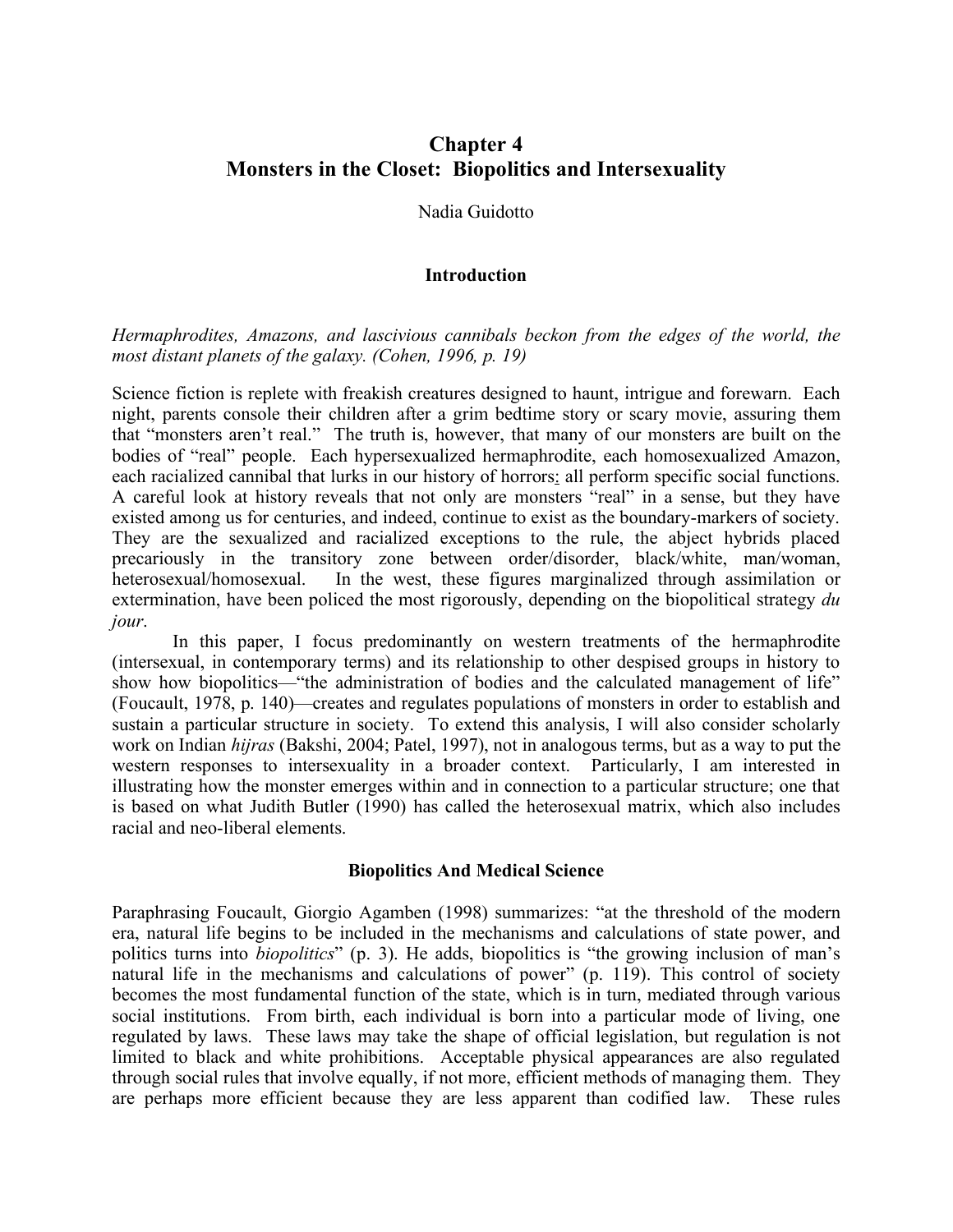# **Chapter 4 Monsters in the Closet: Biopolitics and Intersexuality**

#### Nadia Guidotto

#### **Introduction**

*Hermaphrodites, Amazons, and lascivious cannibals beckon from the edges of the world, the most distant planets of the galaxy. (Cohen, 1996, p. 19)*

Science fiction is replete with freakish creatures designed to haunt, intrigue and forewarn. Each night, parents console their children after a grim bedtime story or scary movie, assuring them that "monsters aren't real." The truth is, however, that many of our monsters are built on the bodies of "real" people. Each hypersexualized hermaphrodite, each homosexualized Amazon, each racialized cannibal that lurks in our history of horrors: all perform specific social functions. A careful look at history reveals that not only are monsters "real" in a sense, but they have existed among us for centuries, and indeed, continue to exist as the boundary-markers of society. They are the sexualized and racialized exceptions to the rule, the abject hybrids placed precariously in the transitory zone between order/disorder, black/white, man/woman, heterosexual/homosexual. In the west, these figures marginalized through assimilation or extermination, have been policed the most rigorously, depending on the biopolitical strategy *du jour*.

In this paper, I focus predominantly on western treatments of the hermaphrodite (intersexual, in contemporary terms) and its relationship to other despised groups in history to show how biopolitics—"the administration of bodies and the calculated management of life" (Foucault, 1978, p. 140)—creates and regulates populations of monsters in order to establish and sustain a particular structure in society. To extend this analysis, I will also consider scholarly work on Indian *hijras* (Bakshi, 2004; Patel, 1997), not in analogous terms, but as a way to put the western responses to intersexuality in a broader context. Particularly, I am interested in illustrating how the monster emerges within and in connection to a particular structure; one that is based on what Judith Butler (1990) has called the heterosexual matrix, which also includes racial and neo-liberal elements.

#### **Biopolitics And Medical Science**

Paraphrasing Foucault, Giorgio Agamben (1998) summarizes: "at the threshold of the modern era, natural life begins to be included in the mechanisms and calculations of state power, and politics turns into *biopolitics*" (p. 3). He adds, biopolitics is "the growing inclusion of man's natural life in the mechanisms and calculations of power" (p. 119). This control of society becomes the most fundamental function of the state, which is in turn, mediated through various social institutions. From birth, each individual is born into a particular mode of living, one regulated by laws. These laws may take the shape of official legislation, but regulation is not limited to black and white prohibitions. Acceptable physical appearances are also regulated through social rules that involve equally, if not more, efficient methods of managing them. They are perhaps more efficient because they are less apparent than codified law. These rules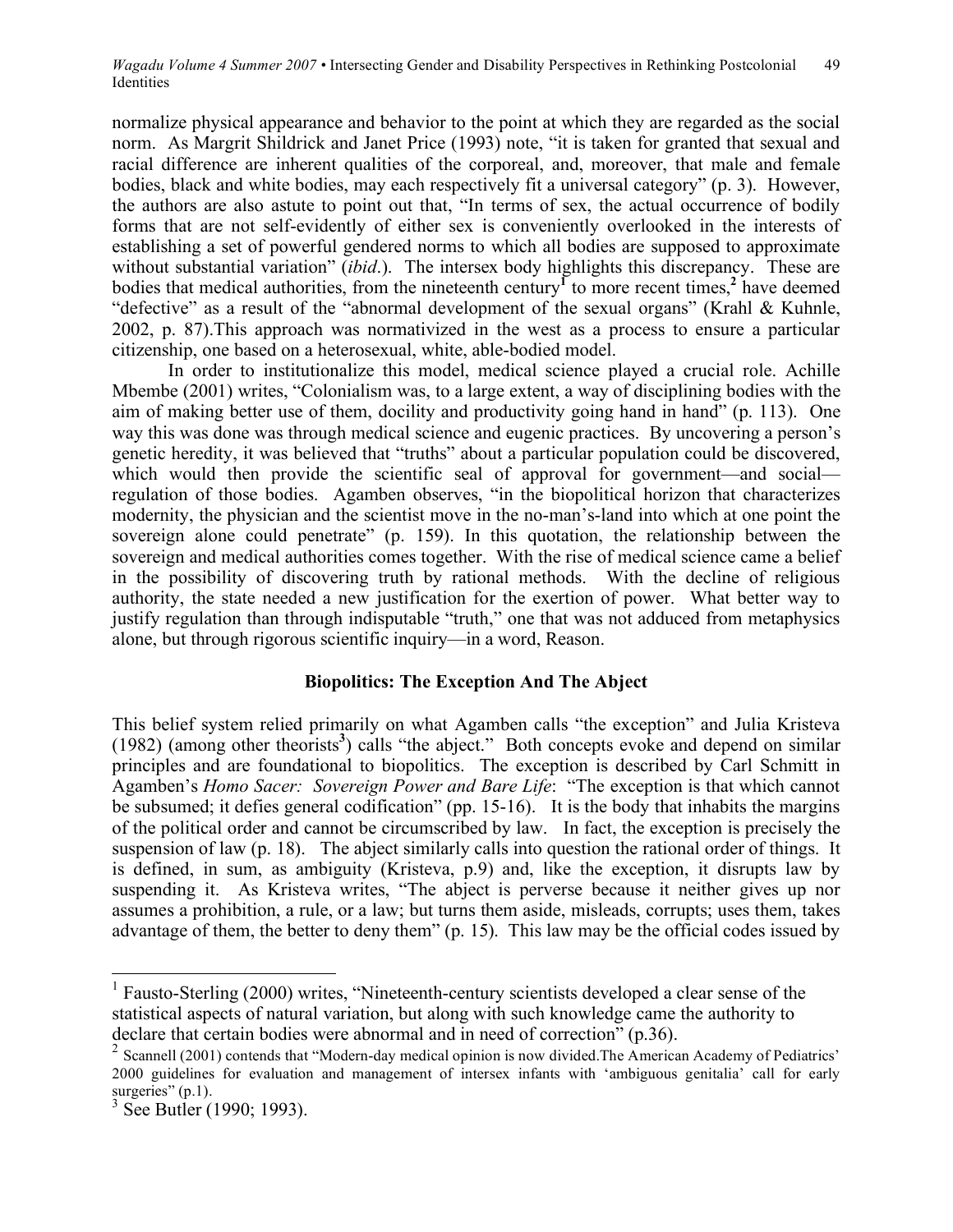normalize physical appearance and behavior to the point at which they are regarded as the social norm. As Margrit Shildrick and Janet Price (1993) note, "it is taken for granted that sexual and racial difference are inherent qualities of the corporeal, and, moreover, that male and female bodies, black and white bodies, may each respectively fit a universal category" (p. 3). However, the authors are also astute to point out that, "In terms of sex, the actual occurrence of bodily forms that are not self-evidently of either sex is conveniently overlooked in the interests of establishing a set of powerful gendered norms to which all bodies are supposed to approximate without substantial variation" (*ibid*.). The intersex body highlights this discrepancy. These are bodies that medical authorities, from the nineteenth century<sup> $\Gamma$ </sup> to more recent times,<sup>2</sup> have deemed "defective" as a result of the "abnormal development of the sexual organs" (Krahl & Kuhnle, 2002, p. 87).This approach was normativized in the west as a process to ensure a particular citizenship, one based on a heterosexual, white, able-bodied model.

In order to institutionalize this model, medical science played a crucial role. Achille Mbembe (2001) writes, "Colonialism was, to a large extent, a way of disciplining bodies with the aim of making better use of them, docility and productivity going hand in hand" (p. 113). One way this was done was through medical science and eugenic practices. By uncovering a person's genetic heredity, it was believed that "truths" about a particular population could be discovered, which would then provide the scientific seal of approval for government—and social regulation of those bodies. Agamben observes, "in the biopolitical horizon that characterizes modernity, the physician and the scientist move in the no-man's-land into which at one point the sovereign alone could penetrate" (p. 159). In this quotation, the relationship between the sovereign and medical authorities comes together. With the rise of medical science came a belief in the possibility of discovering truth by rational methods. With the decline of religious authority, the state needed a new justification for the exertion of power. What better way to justify regulation than through indisputable "truth," one that was not adduced from metaphysics alone, but through rigorous scientific inquiry—in a word, Reason.

# **Biopolitics: The Exception And The Abject**

This belief system relied primarily on what Agamben calls "the exception" and Julia Kristeva (1982) (among other theorists **3** ) calls "the abject." Both concepts evoke and depend on similar principles and are foundational to biopolitics. The exception is described by Carl Schmitt in Agamben's *Homo Sacer: Sovereign Power and Bare Life*: "The exception is that which cannot be subsumed; it defies general codification" (pp. 15-16). It is the body that inhabits the margins of the political order and cannot be circumscribed by law. In fact, the exception is precisely the suspension of law (p. 18). The abject similarly calls into question the rational order of things. It is defined, in sum, as ambiguity (Kristeva, p.9) and, like the exception, it disrupts law by suspending it. As Kristeva writes, "The abject is perverse because it neither gives up nor assumes a prohibition, a rule, or a law; but turns them aside, misleads, corrupts; uses them, takes advantage of them, the better to deny them" (p. 15). This law may be the official codes issued by

<sup>&</sup>lt;sup>1</sup> Fausto-Sterling (2000) writes, "Nineteenth-century scientists developed a clear sense of the statistical aspects of natural variation, but along with such knowledge came the authority to declare that certain bodies were abnormal and in need of correction" (p.36).<br><sup>2</sup> Scannell (2001) contends that "Modern-day medical opinion is now divided. The American Academy of Pediatrics'

<sup>2000</sup> guidelines for evaluation and management of intersex infants with 'ambiguous genitalia' call for early

 $3$  See Butler (1990; 1993).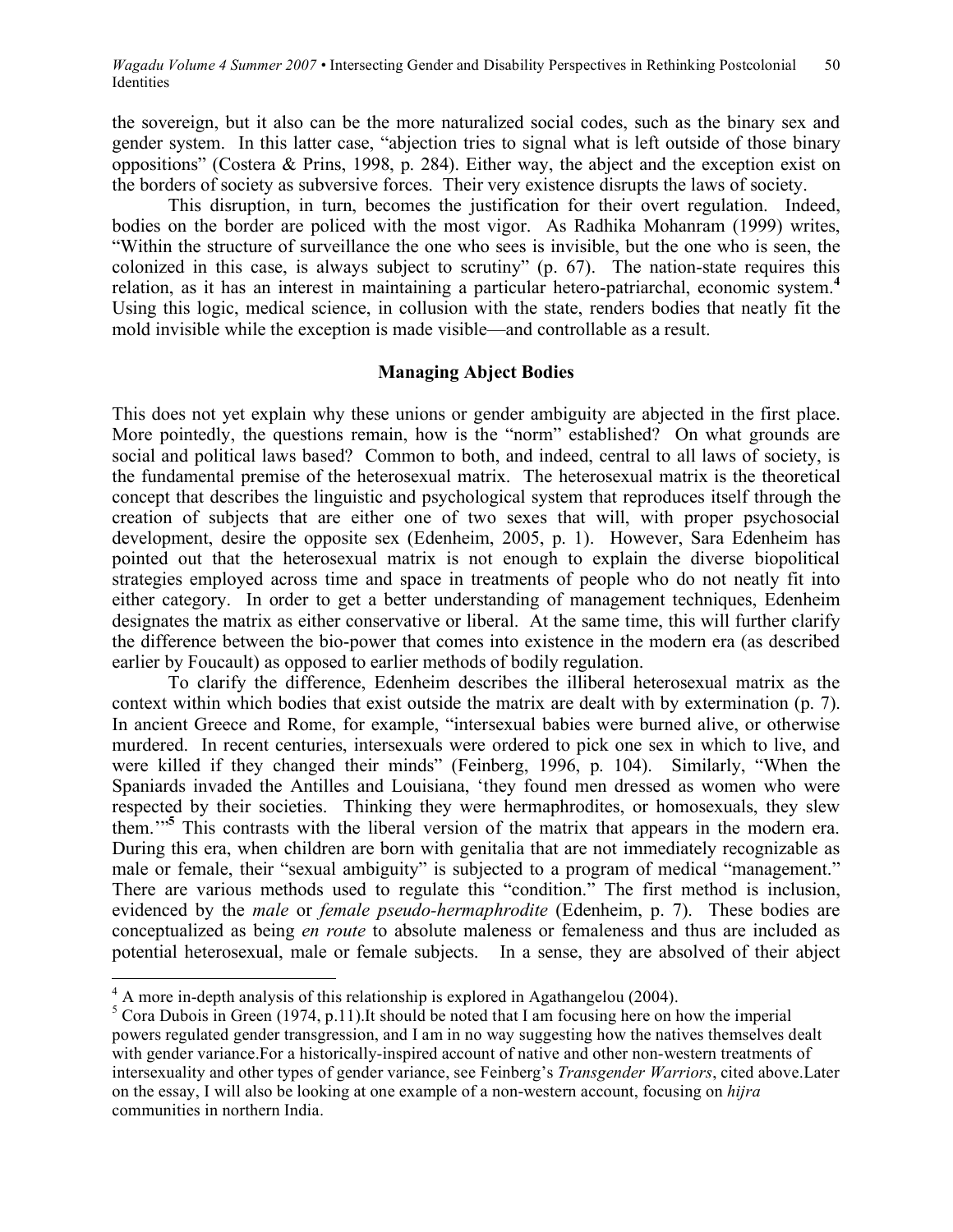the sovereign, but it also can be the more naturalized social codes, such as the binary sex and gender system. In this latter case, "abjection tries to signal what is left outside of those binary oppositions" (Costera & Prins, 1998, p. 284). Either way, the abject and the exception exist on the borders of society as subversive forces. Their very existence disrupts the laws of society.

This disruption, in turn, becomes the justification for their overt regulation. Indeed, bodies on the border are policed with the most vigor. As Radhika Mohanram (1999) writes, "Within the structure of surveillance the one who sees is invisible, but the one who is seen, the colonized in this case, is always subject to scrutiny" (p. 67). The nation-state requires this relation, as it has an interest in maintaining a particular hetero-patriarchal, economic system. **4** Using this logic, medical science, in collusion with the state, renders bodies that neatly fit the mold invisible while the exception is made visible—and controllable as a result.

# **Managing Abject Bodies**

This does not yet explain why these unions or gender ambiguity are abjected in the first place. More pointedly, the questions remain, how is the "norm" established? On what grounds are social and political laws based? Common to both, and indeed, central to all laws of society, is the fundamental premise of the heterosexual matrix. The heterosexual matrix is the theoretical concept that describes the linguistic and psychological system that reproduces itself through the creation of subjects that are either one of two sexes that will, with proper psychosocial development, desire the opposite sex (Edenheim, 2005, p. 1). However, Sara Edenheim has pointed out that the heterosexual matrix is not enough to explain the diverse biopolitical strategies employed across time and space in treatments of people who do not neatly fit into either category. In order to get a better understanding of management techniques, Edenheim designates the matrix as either conservative or liberal. At the same time, this will further clarify the difference between the bio-power that comes into existence in the modern era (as described earlier by Foucault) as opposed to earlier methods of bodily regulation.

To clarify the difference, Edenheim describes the illiberal heterosexual matrix as the context within which bodies that exist outside the matrix are dealt with by extermination (p. 7). In ancient Greece and Rome, for example, "intersexual babies were burned alive, or otherwise murdered. In recent centuries, intersexuals were ordered to pick one sex in which to live, and were killed if they changed their minds" (Feinberg, 1996, p. 104). Similarly, "When the Spaniards invaded the Antilles and Louisiana, 'they found men dressed as women who were respected by their societies. Thinking they were hermaphrodites, or homosexuals, they slew them.'" **<sup>5</sup>** This contrasts with the liberal version of the matrix that appears in the modern era. During this era, when children are born with genitalia that are not immediately recognizable as male or female, their "sexual ambiguity" is subjected to a program of medical "management." There are various methods used to regulate this "condition." The first method is inclusion, evidenced by the *male* or *female pseudo-hermaphrodite* (Edenheim, p. 7). These bodies are conceptualized as being *en route* to absolute maleness or femaleness and thus are included as potential heterosexual, male or female subjects. In a sense, they are absolved of their abject

<sup>&</sup>lt;sup>4</sup> A more in-depth analysis of this relationship is explored in Agathangelou (2004).<br><sup>5</sup> Cora Dubois in Green (1974, p.11).It should be noted that I am focusing here on how the imperial powers regulated gender transgression, and I am in no way suggesting how the natives themselves dealt with gender variance.For a historically-inspired account of native and other non-western treatments of intersexuality and other types of gender variance, see Feinberg's *Transgender Warriors*, cited above.Later on the essay, I will also be looking at one example of a non-western account, focusing on *hijra* communities in northern India.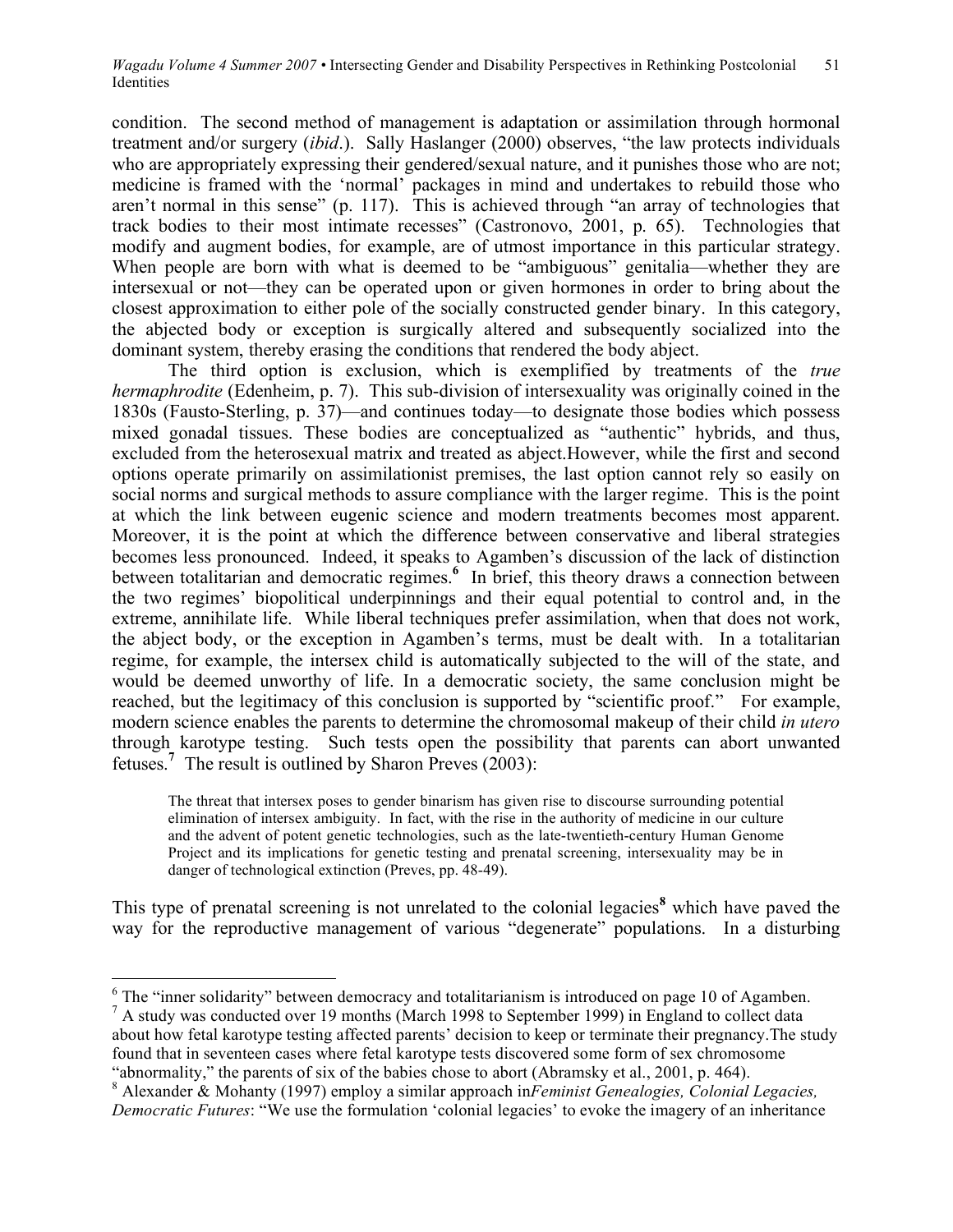condition. The second method of management is adaptation or assimilation through hormonal treatment and/or surgery (*ibid*.). Sally Haslanger (2000) observes, "the law protects individuals who are appropriately expressing their gendered/sexual nature, and it punishes those who are not; medicine is framed with the 'normal' packages in mind and undertakes to rebuild those who aren't normal in this sense" (p. 117). This is achieved through "an array of technologies that track bodies to their most intimate recesses" (Castronovo, 2001, p. 65). Technologies that modify and augment bodies, for example, are of utmost importance in this particular strategy. When people are born with what is deemed to be "ambiguous" genitalia—whether they are intersexual or not—they can be operated upon or given hormones in order to bring about the closest approximation to either pole of the socially constructed gender binary. In this category, the abjected body or exception is surgically altered and subsequently socialized into the dominant system, thereby erasing the conditions that rendered the body abject.

The third option is exclusion, which is exemplified by treatments of the *true hermaphrodite* (Edenheim, p. 7). This sub-division of intersexuality was originally coined in the 1830s (Fausto-Sterling, p. 37)—and continues today—to designate those bodies which possess mixed gonadal tissues. These bodies are conceptualized as "authentic" hybrids, and thus, excluded from the heterosexual matrix and treated as abject.However, while the first and second options operate primarily on assimilationist premises, the last option cannot rely so easily on social norms and surgical methods to assure compliance with the larger regime. This is the point at which the link between eugenic science and modern treatments becomes most apparent. Moreover, it is the point at which the difference between conservative and liberal strategies becomes less pronounced. Indeed, it speaks to Agamben's discussion of the lack of distinction between totalitarian and democratic regimes. **<sup>6</sup>** In brief, this theory draws a connection between the two regimes' biopolitical underpinnings and their equal potential to control and, in the extreme, annihilate life. While liberal techniques prefer assimilation, when that does not work, the abject body, or the exception in Agamben's terms, must be dealt with. In a totalitarian regime, for example, the intersex child is automatically subjected to the will of the state, and would be deemed unworthy of life. In a democratic society, the same conclusion might be reached, but the legitimacy of this conclusion is supported by "scientific proof." For example, modern science enables the parents to determine the chromosomal makeup of their child *in utero* through karotype testing. Such tests open the possibility that parents can abort unwanted fetuses.<sup>7</sup> The result is outlined by Sharon Preves (2003):

The threat that intersex poses to gender binarism has given rise to discourse surrounding potential elimination of intersex ambiguity. In fact, with the rise in the authority of medicine in our culture and the advent of potent genetic technologies, such as the late-twentieth-century Human Genome Project and its implications for genetic testing and prenatal screening, intersexuality may be in danger of technological extinction (Preves, pp. 48-49).

This type of prenatal screening is not unrelated to the colonial legacies<sup>8</sup> which have paved the way for the reproductive management of various "degenerate" populations. In a disturbing

<sup>&</sup>lt;sup>6</sup> The "inner solidarity" between democracy and totalitarianism is introduced on page 10 of Agamben. <sup>7</sup> A study was conducted over 19 months (March 1998 to September 1999) in England to collect data about how fetal karotype testing affected parents' decision to keep or terminate their pregnancy.The study found that in seventeen cases where fetal karotype tests discovered some form of sex chromosome

<sup>&</sup>quot;abnormality," the parents of six of the babies chose to abort (Abramsky et al., 2001, p. 464). <sup>8</sup> Alexander & Mohanty (1997) employ a similar approach in*Feminist Genealogies, Colonial Legacies, Democratic Futures*: "We use the formulation 'colonial legacies' to evoke the imagery of an inheritance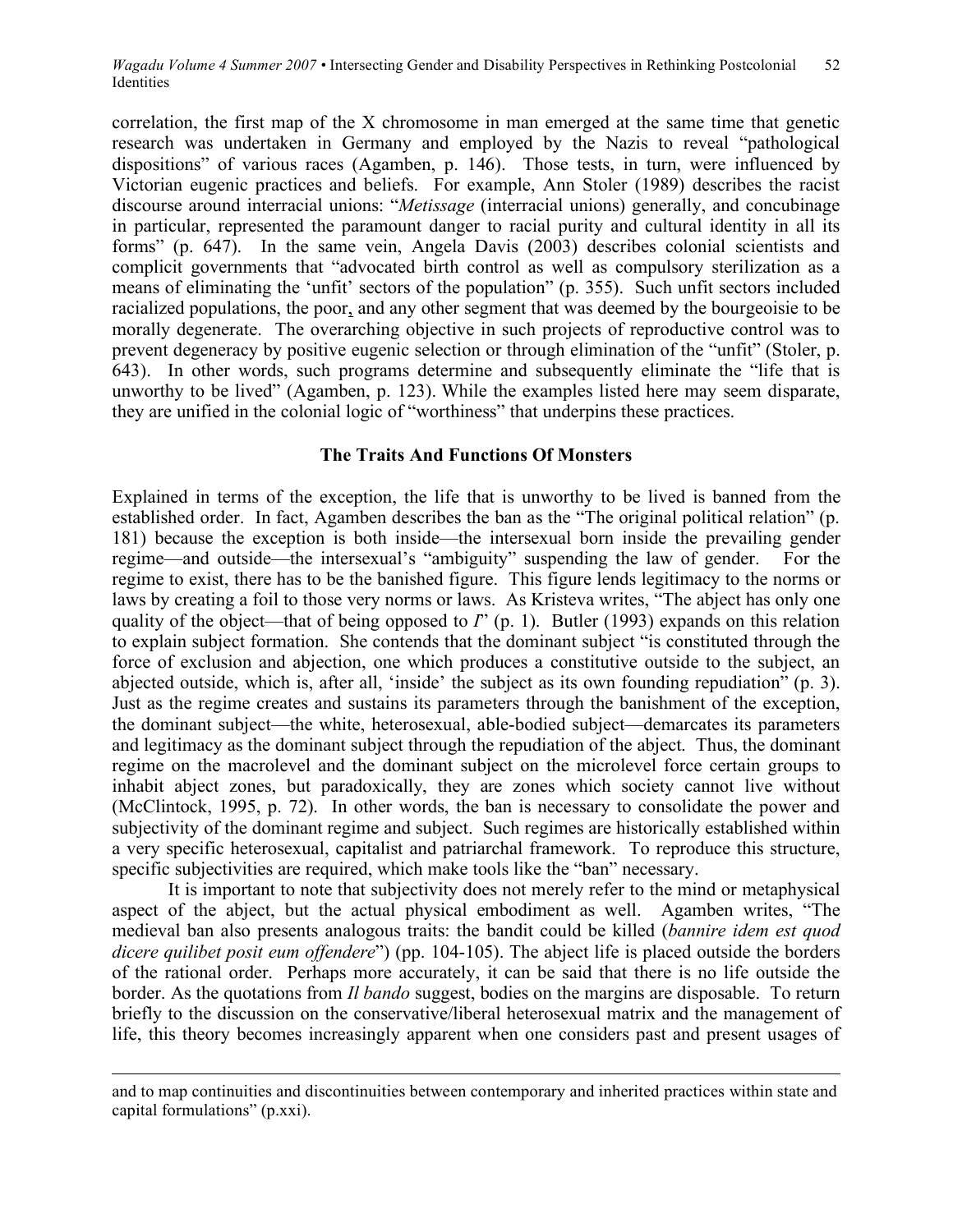correlation, the first map of the X chromosome in man emerged at the same time that genetic research was undertaken in Germany and employed by the Nazis to reveal "pathological dispositions" of various races (Agamben, p. 146). Those tests, in turn, were influenced by Victorian eugenic practices and beliefs. For example, Ann Stoler (1989) describes the racist discourse around interracial unions: "*Metissage* (interracial unions) generally, and concubinage in particular, represented the paramount danger to racial purity and cultural identity in all its forms" (p. 647). In the same vein, Angela Davis (2003) describes colonial scientists and complicit governments that "advocated birth control as well as compulsory sterilization as a means of eliminating the 'unfit' sectors of the population" (p. 355). Such unfit sectors included racialized populations, the poor, and any other segment that was deemed by the bourgeoisie to be morally degenerate. The overarching objective in such projects of reproductive control was to prevent degeneracy by positive eugenic selection or through elimination of the "unfit" (Stoler, p. 643). In other words, such programs determine and subsequently eliminate the "life that is unworthy to be lived" (Agamben, p. 123). While the examples listed here may seem disparate, they are unified in the colonial logic of "worthiness" that underpins these practices.

# **The Traits And Functions Of Monsters**

Explained in terms of the exception, the life that is unworthy to be lived is banned from the established order. In fact, Agamben describes the ban as the "The original political relation" (p. 181) because the exception is both inside—the intersexual born inside the prevailing gender regime—and outside—the intersexual's "ambiguity" suspending the law of gender. For the regime to exist, there has to be the banished figure. This figure lends legitimacy to the norms or laws by creating a foil to those very norms or laws. As Kristeva writes, "The abject has only one quality of the object—that of being opposed to *I*" (p. 1). Butler (1993) expands on this relation to explain subject formation. She contends that the dominant subject "is constituted through the force of exclusion and abjection, one which produces a constitutive outside to the subject, an abjected outside, which is, after all, 'inside' the subject as its own founding repudiation" (p. 3). Just as the regime creates and sustains its parameters through the banishment of the exception, the dominant subject—the white, heterosexual, able-bodied subject—demarcates its parameters and legitimacy as the dominant subject through the repudiation of the abject. Thus, the dominant regime on the macrolevel and the dominant subject on the microlevel force certain groups to inhabit abject zones, but paradoxically, they are zones which society cannot live without (McClintock, 1995, p. 72). In other words, the ban is necessary to consolidate the power and subjectivity of the dominant regime and subject. Such regimes are historically established within a very specific heterosexual, capitalist and patriarchal framework. To reproduce this structure, specific subjectivities are required, which make tools like the "ban" necessary.

It is important to note that subjectivity does not merely refer to the mind or metaphysical aspect of the abject, but the actual physical embodiment as well. Agamben writes, "The medieval ban also presents analogous traits: the bandit could be killed (*bannire idem est quod dicere quilibet posit eum offendere*") (pp. 104-105). The abject life is placed outside the borders of the rational order. Perhaps more accurately, it can be said that there is no life outside the border. As the quotations from *Il bando* suggest, bodies on the margins are disposable. To return briefly to the discussion on the conservative/liberal heterosexual matrix and the management of life, this theory becomes increasingly apparent when one considers past and present usages of

 $\overline{a}$ 

and to map continuities and discontinuities between contemporary and inherited practices within state and capital formulations" (p.xxi).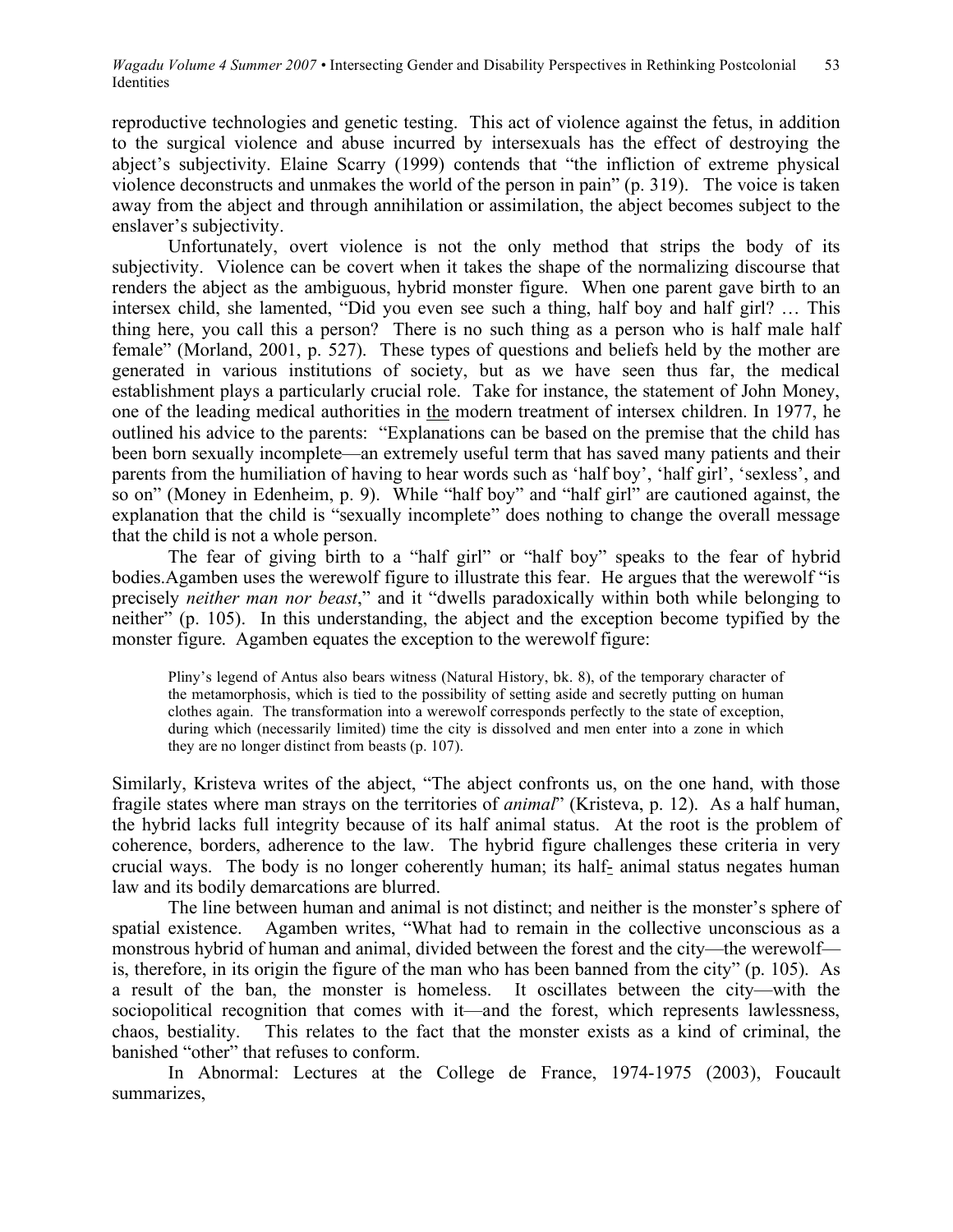reproductive technologies and genetic testing. This act of violence against the fetus, in addition to the surgical violence and abuse incurred by intersexuals has the effect of destroying the abject's subjectivity. Elaine Scarry (1999) contends that "the infliction of extreme physical violence deconstructs and unmakes the world of the person in pain" (p. 319). The voice is taken away from the abject and through annihilation or assimilation, the abject becomes subject to the enslaver's subjectivity.

Unfortunately, overt violence is not the only method that strips the body of its subjectivity. Violence can be covert when it takes the shape of the normalizing discourse that renders the abject as the ambiguous, hybrid monster figure. When one parent gave birth to an intersex child, she lamented, "Did you even see such a thing, half boy and half girl? … This thing here, you call this a person? There is no such thing as a person who is half male half female" (Morland, 2001, p. 527). These types of questions and beliefs held by the mother are generated in various institutions of society, but as we have seen thus far, the medical establishment plays a particularly crucial role. Take for instance, the statement of John Money, one of the leading medical authorities in the modern treatment of intersex children. In 1977, he outlined his advice to the parents: "Explanations can be based on the premise that the child has been born sexually incomplete—an extremely useful term that has saved many patients and their parents from the humiliation of having to hear words such as 'half boy', 'half girl', 'sexless', and so on" (Money in Edenheim, p. 9). While "half boy" and "half girl" are cautioned against, the explanation that the child is "sexually incomplete" does nothing to change the overall message that the child is not a whole person.

The fear of giving birth to a "half girl" or "half boy" speaks to the fear of hybrid bodies.Agamben uses the werewolf figure to illustrate this fear. He argues that the werewolf "is precisely *neither man nor beast*," and it "dwells paradoxically within both while belonging to neither" (p. 105). In this understanding, the abject and the exception become typified by the monster figure. Agamben equates the exception to the werewolf figure:

Pliny's legend of Antus also bears witness (Natural History, bk. 8), of the temporary character of the metamorphosis, which is tied to the possibility of setting aside and secretly putting on human clothes again. The transformation into a werewolf corresponds perfectly to the state of exception, during which (necessarily limited) time the city is dissolved and men enter into a zone in which they are no longer distinct from beasts (p. 107).

Similarly, Kristeva writes of the abject, "The abject confronts us, on the one hand, with those fragile states where man strays on the territories of *animal*" (Kristeva, p. 12). As a half human, the hybrid lacks full integrity because of its half animal status. At the root is the problem of coherence, borders, adherence to the law. The hybrid figure challenges these criteria in very crucial ways. The body is no longer coherently human; its half- animal status negates human law and its bodily demarcations are blurred.

The line between human and animal is not distinct; and neither is the monster's sphere of spatial existence. Agamben writes, "What had to remain in the collective unconscious as a monstrous hybrid of human and animal, divided between the forest and the city—the werewolf is, therefore, in its origin the figure of the man who has been banned from the city" (p. 105). As a result of the ban, the monster is homeless. It oscillates between the city—with the sociopolitical recognition that comes with it—and the forest, which represents lawlessness, chaos, bestiality. This relates to the fact that the monster exists as a kind of criminal, the banished "other" that refuses to conform.

In Abnormal: Lectures at the College de France, 1974-1975 (2003), Foucault summarizes,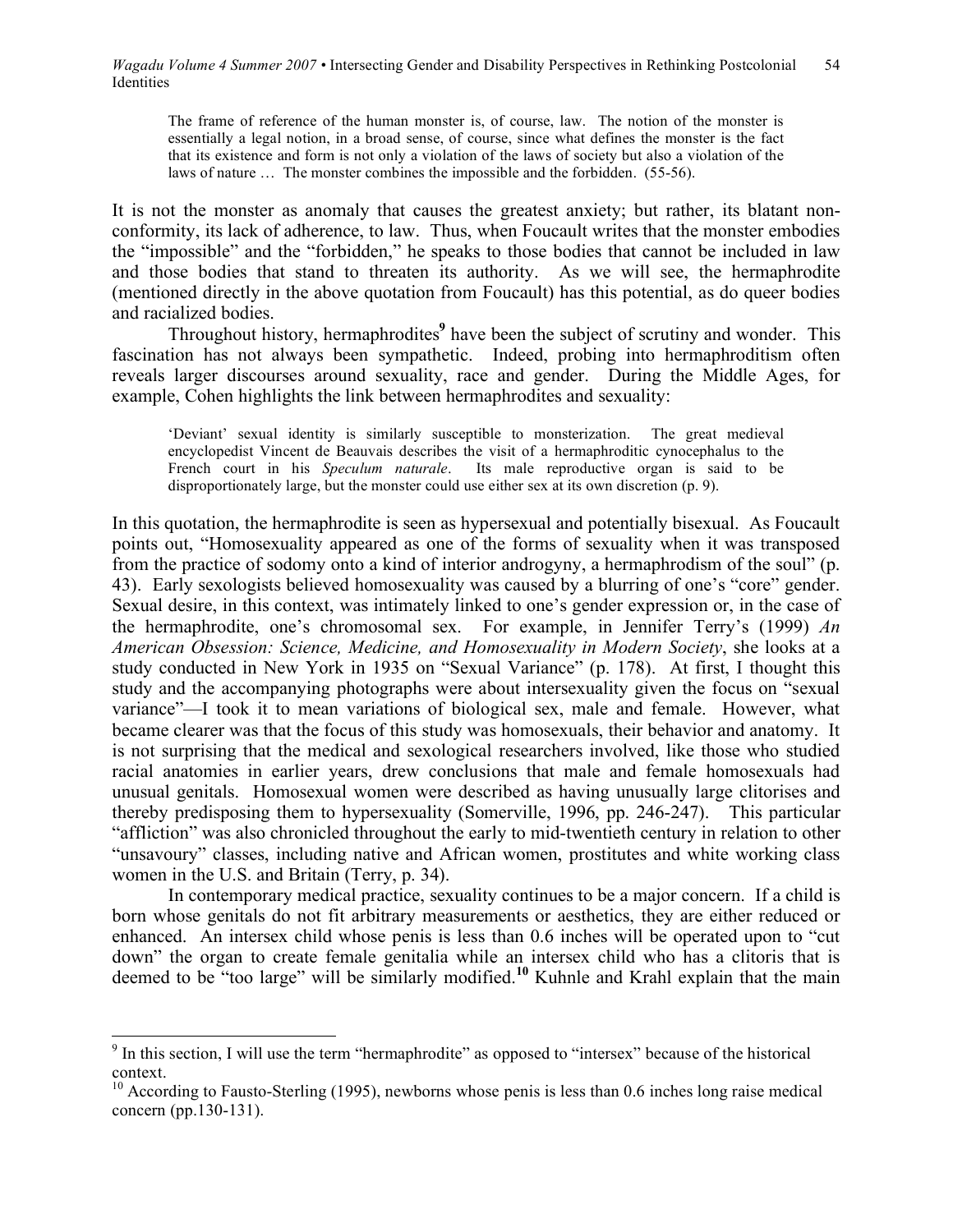The frame of reference of the human monster is, of course, law. The notion of the monster is essentially a legal notion, in a broad sense, of course, since what defines the monster is the fact that its existence and form is not only a violation of the laws of society but also a violation of the laws of nature … The monster combines the impossible and the forbidden. (55-56).

It is not the monster as anomaly that causes the greatest anxiety; but rather, its blatant nonconformity, its lack of adherence, to law. Thus, when Foucault writes that the monster embodies the "impossible" and the "forbidden," he speaks to those bodies that cannot be included in law and those bodies that stand to threaten its authority. As we will see, the hermaphrodite (mentioned directly in the above quotation from Foucault) has this potential, as do queer bodies and racialized bodies.

Throughout history, hermaphrodites **<sup>9</sup>** have been the subject of scrutiny and wonder. This fascination has not always been sympathetic. Indeed, probing into hermaphroditism often reveals larger discourses around sexuality, race and gender. During the Middle Ages, for example, Cohen highlights the link between hermaphrodites and sexuality:

'Deviant' sexual identity is similarly susceptible to monsterization. The great medieval encyclopedist Vincent de Beauvais describes the visit of a hermaphroditic cynocephalus to the French court in his *Speculum naturale*. Its male reproductive organ is said to be disproportionately large, but the monster could use either sex at its own discretion (p. 9).

In this quotation, the hermaphrodite is seen as hypersexual and potentially bisexual. As Foucault points out, "Homosexuality appeared as one of the forms of sexuality when it was transposed from the practice of sodomy onto a kind of interior androgyny, a hermaphrodism of the soul" (p. 43). Early sexologists believed homosexuality was caused by a blurring of one's "core" gender. Sexual desire, in this context, was intimately linked to one's gender expression or, in the case of the hermaphrodite, one's chromosomal sex. For example, in Jennifer Terry's (1999) *An American Obsession: Science, Medicine, and Homosexuality in Modern Society*, she looks at a study conducted in New York in 1935 on "Sexual Variance" (p. 178). At first, I thought this study and the accompanying photographs were about intersexuality given the focus on "sexual variance"—I took it to mean variations of biological sex, male and female. However, what became clearer was that the focus of this study was homosexuals, their behavior and anatomy. It is not surprising that the medical and sexological researchers involved, like those who studied racial anatomies in earlier years, drew conclusions that male and female homosexuals had unusual genitals. Homosexual women were described as having unusually large clitorises and thereby predisposing them to hypersexuality (Somerville, 1996, pp. 246-247). This particular "affliction" was also chronicled throughout the early to mid-twentieth century in relation to other "unsavoury" classes, including native and African women, prostitutes and white working class women in the U.S. and Britain (Terry, p. 34).

In contemporary medical practice, sexuality continues to be a major concern. If a child is born whose genitals do not fit arbitrary measurements or aesthetics, they are either reduced or enhanced. An intersex child whose penis is less than 0.6 inches will be operated upon to "cut down" the organ to create female genitalia while an intersex child who has a clitoris that is deemed to be "too large" will be similarly modified.**<sup>10</sup>** Kuhnle and Krahl explain that the main

<sup>&</sup>lt;sup>9</sup> In this section, I will use the term "hermaphrodite" as opposed to "intersex" because of the historical context.<br><sup>10</sup> According to Fausto-Sterling (1995), newborns whose penis is less than 0.6 inches long raise medical

concern (pp.130-131).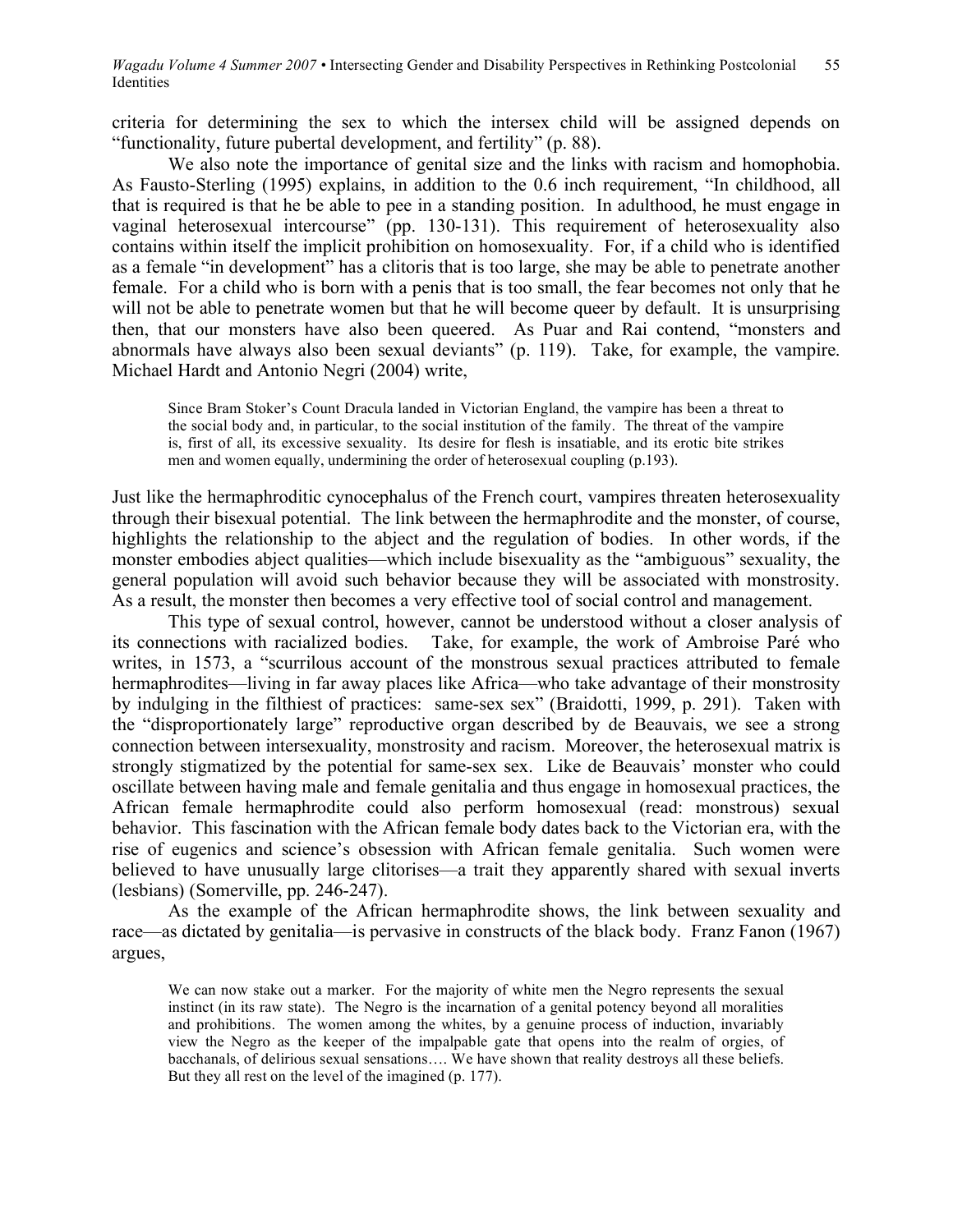criteria for determining the sex to which the intersex child will be assigned depends on "functionality, future pubertal development, and fertility" (p. 88).

We also note the importance of genital size and the links with racism and homophobia. As Fausto-Sterling (1995) explains, in addition to the 0.6 inch requirement, "In childhood, all that is required is that he be able to pee in a standing position. In adulthood, he must engage in vaginal heterosexual intercourse" (pp. 130-131). This requirement of heterosexuality also contains within itself the implicit prohibition on homosexuality. For, if a child who is identified as a female "in development" has a clitoris that is too large, she may be able to penetrate another female. For a child who is born with a penis that is too small, the fear becomes not only that he will not be able to penetrate women but that he will become queer by default. It is unsurprising then, that our monsters have also been queered. As Puar and Rai contend, "monsters and abnormals have always also been sexual deviants" (p. 119). Take, for example, the vampire. Michael Hardt and Antonio Negri (2004) write,

Since Bram Stoker's Count Dracula landed in Victorian England, the vampire has been a threat to the social body and, in particular, to the social institution of the family. The threat of the vampire is, first of all, its excessive sexuality. Its desire for flesh is insatiable, and its erotic bite strikes men and women equally, undermining the order of heterosexual coupling (p.193).

Just like the hermaphroditic cynocephalus of the French court, vampires threaten heterosexuality through their bisexual potential. The link between the hermaphrodite and the monster, of course, highlights the relationship to the abject and the regulation of bodies. In other words, if the monster embodies abject qualities—which include bisexuality as the "ambiguous" sexuality, the general population will avoid such behavior because they will be associated with monstrosity. As a result, the monster then becomes a very effective tool of social control and management.

This type of sexual control, however, cannot be understood without a closer analysis of its connections with racialized bodies. Take, for example, the work of Ambroise Paré who writes, in 1573, a "scurrilous account of the monstrous sexual practices attributed to female hermaphrodites—living in far away places like Africa—who take advantage of their monstrosity by indulging in the filthiest of practices: same-sex sex" (Braidotti, 1999, p. 291). Taken with the "disproportionately large" reproductive organ described by de Beauvais, we see a strong connection between intersexuality, monstrosity and racism. Moreover, the heterosexual matrix is strongly stigmatized by the potential for same-sex sex. Like de Beauvais' monster who could oscillate between having male and female genitalia and thus engage in homosexual practices, the African female hermaphrodite could also perform homosexual (read: monstrous) sexual behavior. This fascination with the African female body dates back to the Victorian era, with the rise of eugenics and science's obsession with African female genitalia. Such women were believed to have unusually large clitorises—a trait they apparently shared with sexual inverts (lesbians) (Somerville, pp. 246-247).

As the example of the African hermaphrodite shows, the link between sexuality and race—as dictated by genitalia—is pervasive in constructs of the black body. Franz Fanon (1967) argues,

We can now stake out a marker. For the majority of white men the Negro represents the sexual instinct (in its raw state). The Negro is the incarnation of a genital potency beyond all moralities and prohibitions. The women among the whites, by a genuine process of induction, invariably view the Negro as the keeper of the impalpable gate that opens into the realm of orgies, of bacchanals, of delirious sexual sensations…. We have shown that reality destroys all these beliefs. But they all rest on the level of the imagined (p. 177).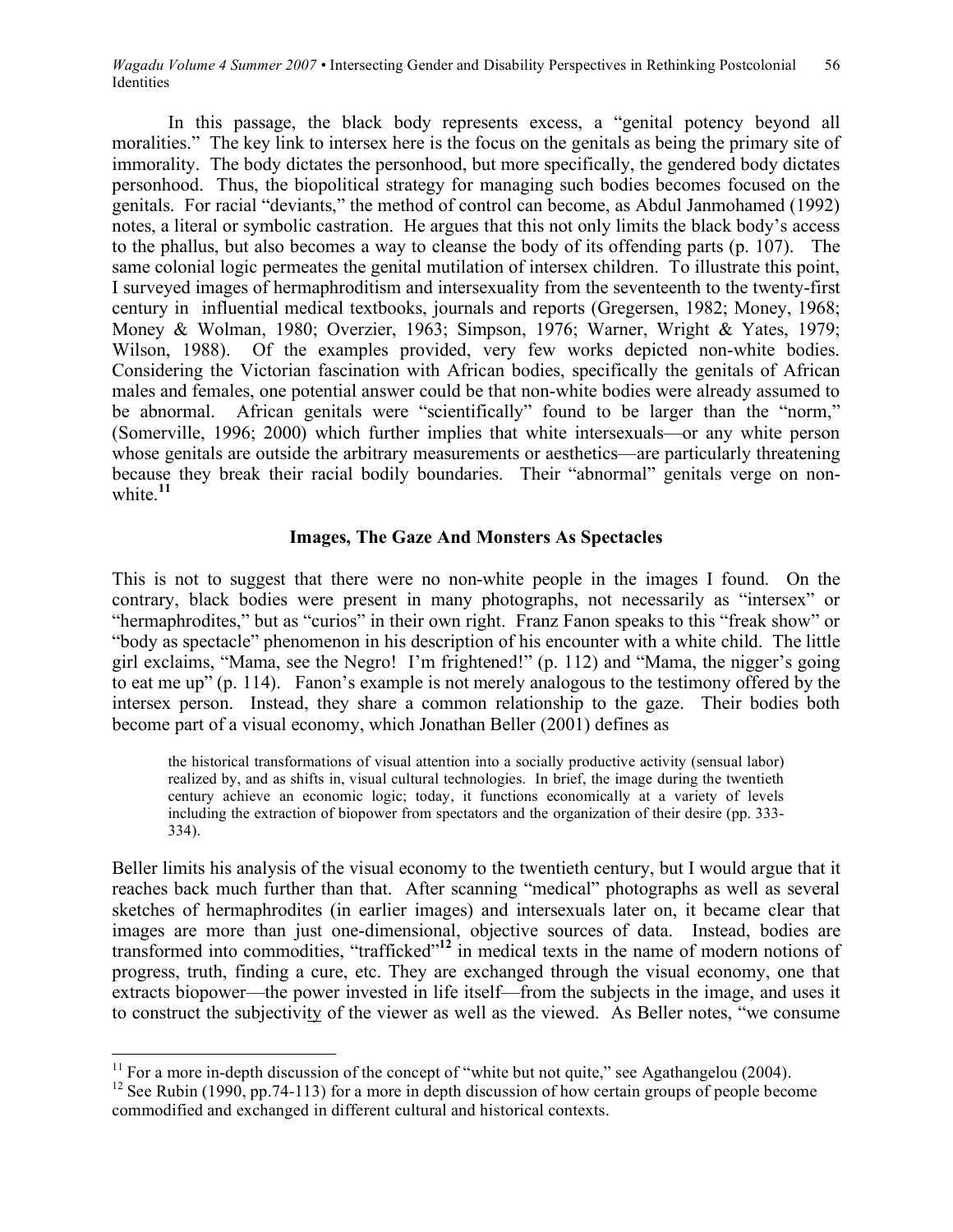In this passage, the black body represents excess, a "genital potency beyond all moralities." The key link to intersex here is the focus on the genitals as being the primary site of immorality. The body dictates the personhood, but more specifically, the gendered body dictates personhood. Thus, the biopolitical strategy for managing such bodies becomes focused on the genitals. For racial "deviants," the method of control can become, as Abdul Janmohamed (1992) notes, a literal or symbolic castration. He argues that this not only limits the black body's access to the phallus, but also becomes a way to cleanse the body of its offending parts (p. 107). The same colonial logic permeates the genital mutilation of intersex children. To illustrate this point, I surveyed images of hermaphroditism and intersexuality from the seventeenth to the twenty-first century in influential medical textbooks, journals and reports (Gregersen, 1982; Money, 1968; Money & Wolman, 1980; Overzier, 1963; Simpson, 1976; Warner, Wright & Yates, 1979; Wilson, 1988). Of the examples provided, very few works depicted non-white bodies. Considering the Victorian fascination with African bodies, specifically the genitals of African males and females, one potential answer could be that non-white bodies were already assumed to be abnormal. African genitals were "scientifically" found to be larger than the "norm," (Somerville, 1996; 2000) which further implies that white intersexuals—or any white person whose genitals are outside the arbitrary measurements or aesthetics—are particularly threatening because they break their racial bodily boundaries. Their "abnormal" genitals verge on nonwhite.<sup>11</sup>

# **Images, The Gaze And Monsters As Spectacles**

This is not to suggest that there were no non-white people in the images I found. On the contrary, black bodies were present in many photographs, not necessarily as "intersex" or "hermaphrodites," but as "curios" in their own right. Franz Fanon speaks to this "freak show" or "body as spectacle" phenomenon in his description of his encounter with a white child. The little girl exclaims, "Mama, see the Negro! I'm frightened!" (p. 112) and "Mama, the nigger's going to eat me up" (p. 114). Fanon's example is not merely analogous to the testimony offered by the intersex person. Instead, they share a common relationship to the gaze. Their bodies both become part of a visual economy, which Jonathan Beller (2001) defines as

the historical transformations of visual attention into a socially productive activity (sensual labor) realized by, and as shifts in, visual cultural technologies. In brief, the image during the twentieth century achieve an economic logic; today, it functions economically at a variety of levels including the extraction of biopower from spectators and the organization of their desire (pp. 333- 334).

Beller limits his analysis of the visual economy to the twentieth century, but I would argue that it reaches back much further than that. After scanning "medical" photographs as well as several sketches of hermaphrodites (in earlier images) and intersexuals later on, it became clear that images are more than just one-dimensional, objective sources of data. Instead, bodies are transformed into commodities, "trafficked"**<sup>12</sup>** in medical texts in the name of modern notions of progress, truth, finding a cure, etc. They are exchanged through the visual economy, one that extracts biopower—the power invested in life itself—from the subjects in the image, and uses it to construct the subjectivity of the viewer as well as the viewed. As Beller notes, "we consume

<sup>&</sup>lt;sup>11</sup> For a more in-depth discussion of the concept of "white but not quite," see Agathangelou (2004).<br><sup>12</sup> See Rubin (1990, pp.74-113) for a more in depth discussion of how certain groups of people become

commodified and exchanged in different cultural and historical contexts.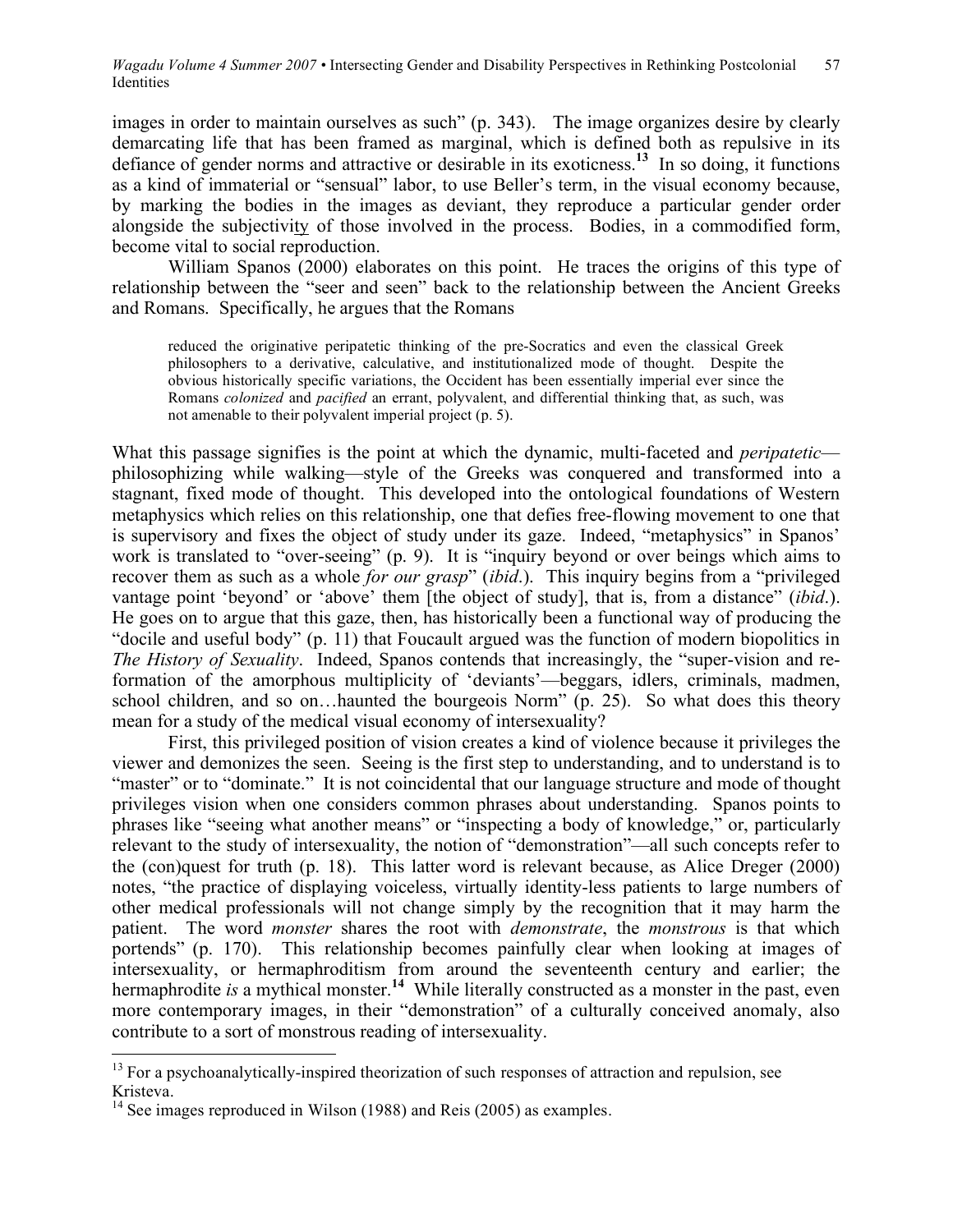images in order to maintain ourselves as such" (p. 343). The image organizes desire by clearly demarcating life that has been framed as marginal, which is defined both as repulsive in its defiance of gender norms and attractive or desirable in its exoticness. **<sup>13</sup>** In so doing, it functions as a kind of immaterial or "sensual" labor, to use Beller's term, in the visual economy because, by marking the bodies in the images as deviant, they reproduce a particular gender order alongside the subjectivity of those involved in the process. Bodies, in a commodified form, become vital to social reproduction.

William Spanos (2000) elaborates on this point. He traces the origins of this type of relationship between the "seer and seen" back to the relationship between the Ancient Greeks and Romans. Specifically, he argues that the Romans

reduced the originative peripatetic thinking of the pre-Socratics and even the classical Greek philosophers to a derivative, calculative, and institutionalized mode of thought. Despite the obvious historically specific variations, the Occident has been essentially imperial ever since the Romans *colonized* and *pacified* an errant, polyvalent, and differential thinking that, as such, was not amenable to their polyvalent imperial project (p. 5).

What this passage signifies is the point at which the dynamic, multi-faceted and *peripatetic* philosophizing while walking—style of the Greeks was conquered and transformed into a stagnant, fixed mode of thought. This developed into the ontological foundations of Western metaphysics which relies on this relationship, one that defies free-flowing movement to one that is supervisory and fixes the object of study under its gaze. Indeed, "metaphysics" in Spanos' work is translated to "over-seeing" (p. 9). It is "inquiry beyond or over beings which aims to recover them as such as a whole *for our grasp*" (*ibid*.). This inquiry begins from a "privileged vantage point 'beyond' or 'above' them [the object of study], that is, from a distance" (*ibid*.). He goes on to argue that this gaze, then, has historically been a functional way of producing the "docile and useful body" (p. 11) that Foucault argued was the function of modern biopolitics in *The History of Sexuality*. Indeed, Spanos contends that increasingly, the "super-vision and reformation of the amorphous multiplicity of 'deviants'—beggars, idlers, criminals, madmen, school children, and so on…haunted the bourgeois Norm" (p. 25). So what does this theory mean for a study of the medical visual economy of intersexuality?

First, this privileged position of vision creates a kind of violence because it privileges the viewer and demonizes the seen. Seeing is the first step to understanding, and to understand is to "master" or to "dominate." It is not coincidental that our language structure and mode of thought privileges vision when one considers common phrases about understanding. Spanos points to phrases like "seeing what another means" or "inspecting a body of knowledge," or, particularly relevant to the study of intersexuality, the notion of "demonstration"—all such concepts refer to the (con)quest for truth (p. 18). This latter word is relevant because, as Alice Dreger (2000) notes, "the practice of displaying voiceless, virtually identity-less patients to large numbers of other medical professionals will not change simply by the recognition that it may harm the patient. The word *monster* shares the root with *demonstrate*, the *monstrous* is that which portends" (p. 170). This relationship becomes painfully clear when looking at images of intersexuality, or hermaphroditism from around the seventeenth century and earlier; the hermaphrodite *is* a mythical monster. **<sup>14</sup>** While literally constructed as a monster in the past, even more contemporary images, in their "demonstration" of a culturally conceived anomaly, also contribute to a sort of monstrous reading of intersexuality.

 $13$  For a psychoanalytically-inspired theorization of such responses of attraction and repulsion, see Kristeva.

 $14$  See images reproduced in Wilson (1988) and Reis (2005) as examples.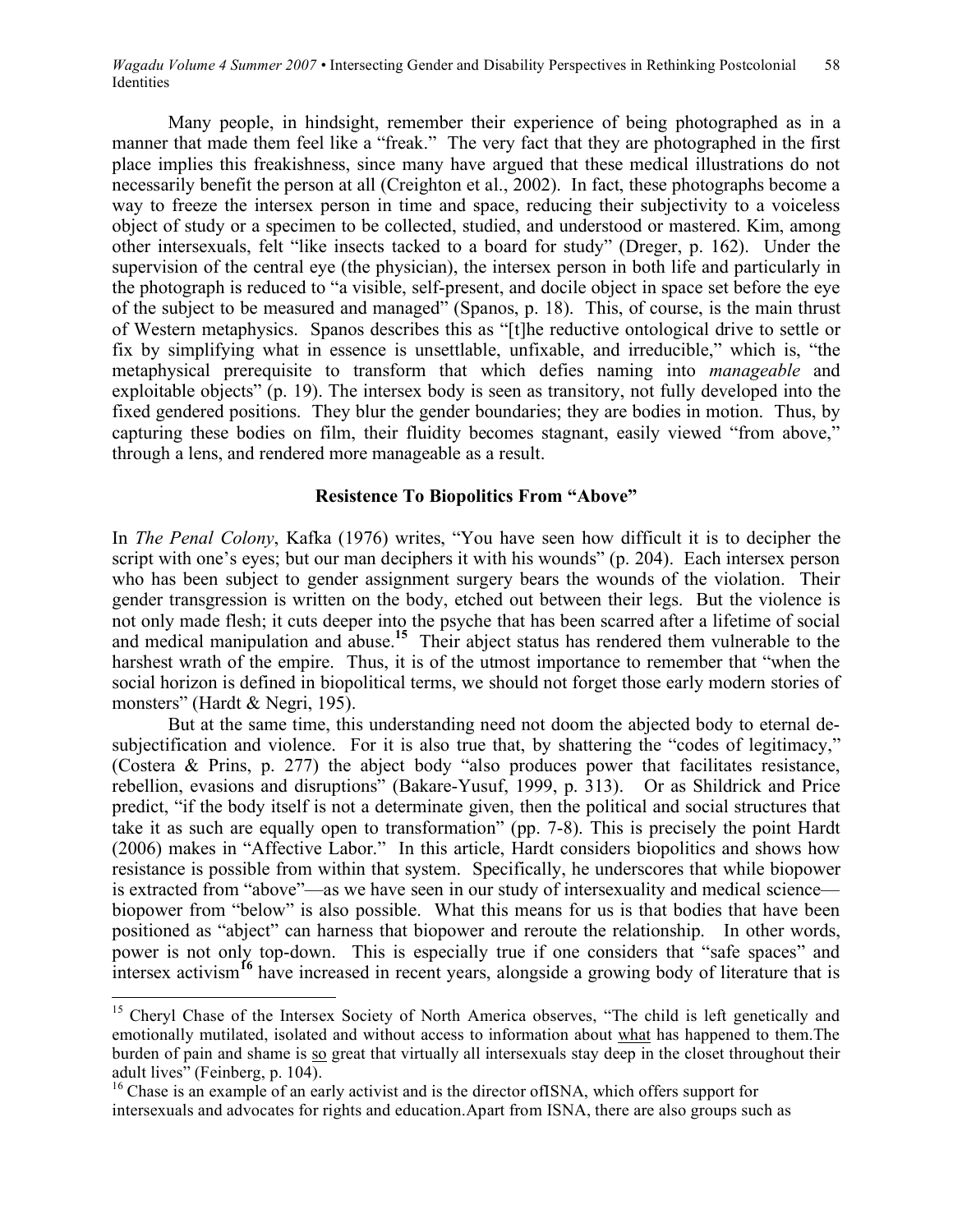Many people, in hindsight, remember their experience of being photographed as in a manner that made them feel like a "freak." The very fact that they are photographed in the first place implies this freakishness, since many have argued that these medical illustrations do not necessarily benefit the person at all (Creighton et al., 2002). In fact, these photographs become a way to freeze the intersex person in time and space, reducing their subjectivity to a voiceless object of study or a specimen to be collected, studied, and understood or mastered. Kim, among other intersexuals, felt "like insects tacked to a board for study" (Dreger, p. 162). Under the supervision of the central eye (the physician), the intersex person in both life and particularly in the photograph is reduced to "a visible, self-present, and docile object in space set before the eye of the subject to be measured and managed" (Spanos, p. 18). This, of course, is the main thrust of Western metaphysics. Spanos describes this as "[t]he reductive ontological drive to settle or fix by simplifying what in essence is unsettlable, unfixable, and irreducible," which is, "the metaphysical prerequisite to transform that which defies naming into *manageable* and exploitable objects" (p. 19). The intersex body is seen as transitory, not fully developed into the fixed gendered positions. They blur the gender boundaries; they are bodies in motion. Thus, by capturing these bodies on film, their fluidity becomes stagnant, easily viewed "from above," through a lens, and rendered more manageable as a result.

### **Resistence To Biopolitics From "Above"**

In *The Penal Colony*, Kafka (1976) writes, "You have seen how difficult it is to decipher the script with one's eyes; but our man deciphers it with his wounds" (p. 204). Each intersex person who has been subject to gender assignment surgery bears the wounds of the violation. Their gender transgression is written on the body, etched out between their legs. But the violence is not only made flesh; it cuts deeper into the psyche that has been scarred after a lifetime of social and medical manipulation and abuse. **<sup>15</sup>** Their abject status has rendered them vulnerable to the harshest wrath of the empire. Thus, it is of the utmost importance to remember that "when the social horizon is defined in biopolitical terms, we should not forget those early modern stories of monsters" (Hardt & Negri, 195).

But at the same time, this understanding need not doom the abjected body to eternal desubjectification and violence. For it is also true that, by shattering the "codes of legitimacy," (Costera & Prins, p. 277) the abject body "also produces power that facilitates resistance, rebellion, evasions and disruptions" (Bakare-Yusuf, 1999, p. 313). Or as Shildrick and Price predict, "if the body itself is not a determinate given, then the political and social structures that take it as such are equally open to transformation" (pp. 7-8). This is precisely the point Hardt (2006) makes in "Affective Labor." In this article, Hardt considers biopolitics and shows how resistance is possible from within that system. Specifically, he underscores that while biopower is extracted from "above"—as we have seen in our study of intersexuality and medical science biopower from "below" is also possible. What this means for us is that bodies that have been positioned as "abject" can harness that biopower and reroute the relationship. In other words, power is not only top-down. This is especially true if one considers that "safe spaces" and intersex activism<sup>16</sup> have increased in recent years, alongside a growing body of literature that is

<sup>&</sup>lt;sup>15</sup> Cheryl Chase of the Intersex Society of North America observes, "The child is left genetically and emotionally mutilated, isolated and without access to information about what has happened to them.The burden of pain and shame is so great that virtually all intersexuals stay deep in the closet throughout their adult lives" (Feinberg, p. 104).<br><sup>16</sup> Chase is an example of an early activist and is the director ofISNA, which offers support for

intersexuals and advocates for rights and education.Apart from ISNA, there are also groups such as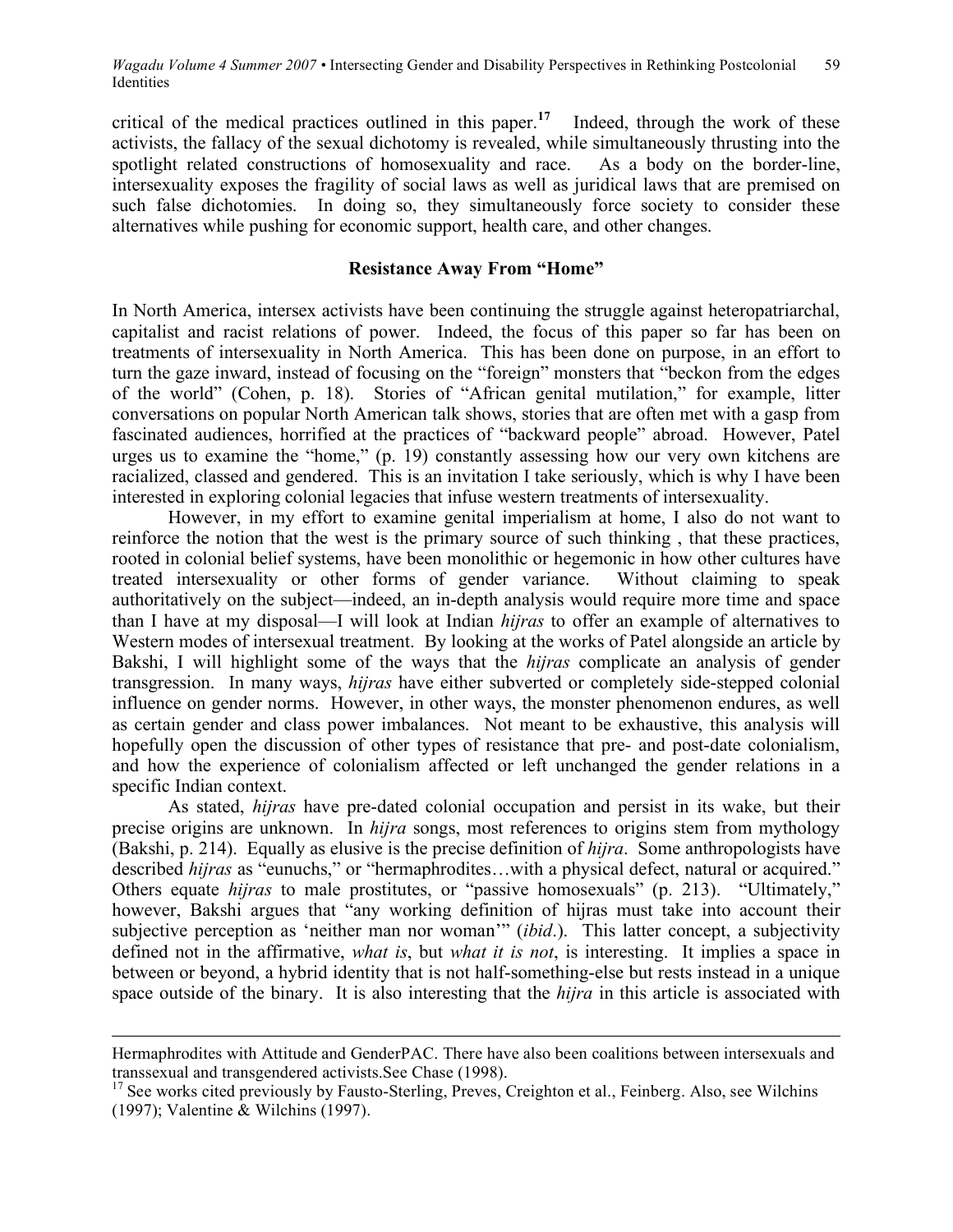critical of the medical practices outlined in this paper. **<sup>17</sup>** Indeed, through the work of these activists, the fallacy of the sexual dichotomy is revealed, while simultaneously thrusting into the spotlight related constructions of homosexuality and race. As a body on the border-line. spotlight related constructions of homosexuality and race. intersexuality exposes the fragility of social laws as well as juridical laws that are premised on such false dichotomies. In doing so, they simultaneously force society to consider these alternatives while pushing for economic support, health care, and other changes.

# **Resistance Away From "Home"**

In North America, intersex activists have been continuing the struggle against heteropatriarchal, capitalist and racist relations of power. Indeed, the focus of this paper so far has been on treatments of intersexuality in North America. This has been done on purpose, in an effort to turn the gaze inward, instead of focusing on the "foreign" monsters that "beckon from the edges of the world" (Cohen, p. 18). Stories of "African genital mutilation," for example, litter conversations on popular North American talk shows, stories that are often met with a gasp from fascinated audiences, horrified at the practices of "backward people" abroad. However, Patel urges us to examine the "home," (p. 19) constantly assessing how our very own kitchens are racialized, classed and gendered. This is an invitation I take seriously, which is why I have been interested in exploring colonial legacies that infuse western treatments of intersexuality.

However, in my effort to examine genital imperialism at home, I also do not want to reinforce the notion that the west is the primary source of such thinking , that these practices, rooted in colonial belief systems, have been monolithic or hegemonic in how other cultures have treated intersexuality or other forms of gender variance. Without claiming to speak authoritatively on the subject—indeed, an in-depth analysis would require more time and space than I have at my disposal—I will look at Indian *hijras* to offer an example of alternatives to Western modes of intersexual treatment. By looking at the works of Patel alongside an article by Bakshi, I will highlight some of the ways that the *hijras* complicate an analysis of gender transgression. In many ways, *hijras* have either subverted or completely side-stepped colonial influence on gender norms. However, in other ways, the monster phenomenon endures, as well as certain gender and class power imbalances. Not meant to be exhaustive, this analysis will hopefully open the discussion of other types of resistance that pre- and post-date colonialism, and how the experience of colonialism affected or left unchanged the gender relations in a specific Indian context.

As stated, *hijras* have pre-dated colonial occupation and persist in its wake, but their precise origins are unknown. In *hijra* songs, most references to origins stem from mythology (Bakshi, p. 214). Equally as elusive is the precise definition of *hijra*. Some anthropologists have described *hijras* as "eunuchs," or "hermaphrodites…with a physical defect, natural or acquired." Others equate *hijras* to male prostitutes, or "passive homosexuals" (p. 213). "Ultimately," however, Bakshi argues that "any working definition of hijras must take into account their subjective perception as 'neither man nor woman'" (*ibid*.). This latter concept, a subjectivity defined not in the affirmative, *what is*, but *what it is not*, is interesting. It implies a space in between or beyond, a hybrid identity that is not half-something-else but rests instead in a unique space outside of the binary. It is also interesting that the *hijra* in this article is associated with

 $\overline{a}$ 

Hermaphrodites with Attitude and GenderPAC. There have also been coalitions between intersexuals and transsexual and transgendered activists.See Chase (1998).<br><sup>17</sup> See works cited previously by Fausto-Sterling, Preves, Creighton et al., Feinberg. Also, see Wilchins

<sup>(1997);</sup> Valentine & Wilchins (1997).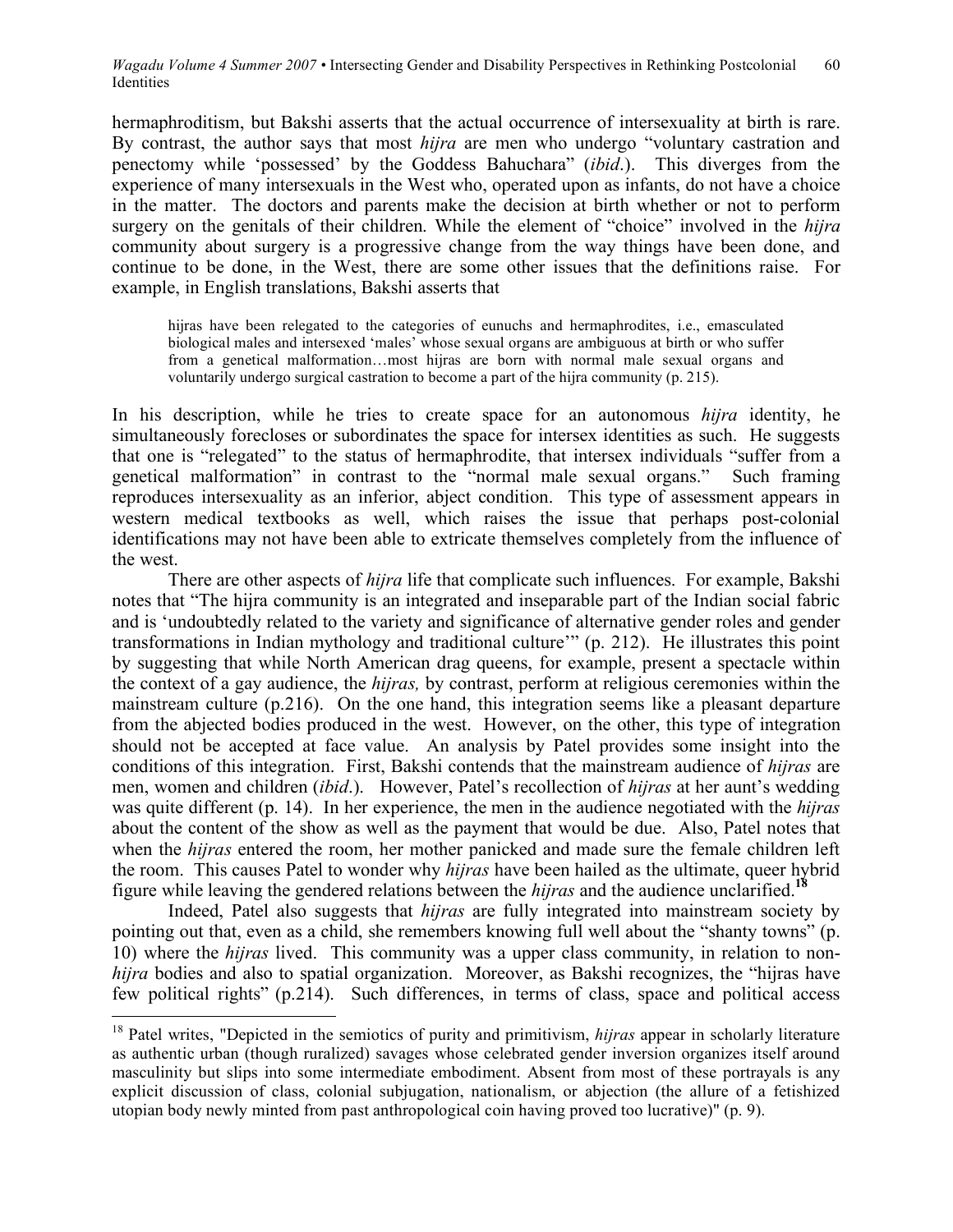hermaphroditism, but Bakshi asserts that the actual occurrence of intersexuality at birth is rare. By contrast, the author says that most *hijra* are men who undergo "voluntary castration and penectomy while 'possessed' by the Goddess Bahuchara" (*ibid*.). This diverges from the experience of many intersexuals in the West who, operated upon as infants, do not have a choice in the matter. The doctors and parents make the decision at birth whether or not to perform surgery on the genitals of their children. While the element of "choice" involved in the *hijra* community about surgery is a progressive change from the way things have been done, and continue to be done, in the West, there are some other issues that the definitions raise. For example, in English translations, Bakshi asserts that

hijras have been relegated to the categories of eunuchs and hermaphrodites, i.e., emasculated biological males and intersexed 'males' whose sexual organs are ambiguous at birth or who suffer from a genetical malformation…most hijras are born with normal male sexual organs and voluntarily undergo surgical castration to become a part of the hijra community (p. 215).

In his description, while he tries to create space for an autonomous *hijra* identity, he simultaneously forecloses or subordinates the space for intersex identities as such. He suggests that one is "relegated" to the status of hermaphrodite, that intersex individuals "suffer from a genetical malformation" in contrast to the "normal male sexual organs." Such framing reproduces intersexuality as an inferior, abject condition. This type of assessment appears in western medical textbooks as well, which raises the issue that perhaps post-colonial identifications may not have been able to extricate themselves completely from the influence of the west.

There are other aspects of *hijra* life that complicate such influences. For example, Bakshi notes that "The hijra community is an integrated and inseparable part of the Indian social fabric and is 'undoubtedly related to the variety and significance of alternative gender roles and gender transformations in Indian mythology and traditional culture'" (p. 212). He illustrates this point by suggesting that while North American drag queens, for example, present a spectacle within the context of a gay audience, the *hijras,* by contrast, perform at religious ceremonies within the mainstream culture (p.216). On the one hand, this integration seems like a pleasant departure from the abjected bodies produced in the west. However, on the other, this type of integration should not be accepted at face value. An analysis by Patel provides some insight into the conditions of this integration. First, Bakshi contends that the mainstream audience of *hijras* are men, women and children (*ibid*.). However, Patel's recollection of *hijras* at her aunt's wedding was quite different (p. 14). In her experience, the men in the audience negotiated with the *hijras* about the content of the show as well as the payment that would be due. Also, Patel notes that when the *hijras* entered the room, her mother panicked and made sure the female children left the room. This causes Patel to wonder why *hijras* have been hailed as the ultimate, queer hybrid figure while leaving the gendered relations between the *hijras* and the audience unclarified.**<sup>18</sup>**

Indeed, Patel also suggests that *hijras* are fully integrated into mainstream society by pointing out that, even as a child, she remembers knowing full well about the "shanty towns" (p. 10) where the *hijras* lived. This community was a upper class community, in relation to non*hijra* bodies and also to spatial organization. Moreover, as Bakshi recognizes, the "hijras have few political rights" (p.214). Such differences, in terms of class, space and political access

<sup>&</sup>lt;sup>18</sup> Patel writes, "Depicted in the semiotics of purity and primitivism, *hijras* appear in scholarly literature as authentic urban (though ruralized) savages whose celebrated gender inversion organizes itself around masculinity but slips into some intermediate embodiment. Absent from most of these portrayals is any explicit discussion of class, colonial subjugation, nationalism, or abjection (the allure of a fetishized utopian body newly minted from past anthropological coin having proved too lucrative)" (p. 9).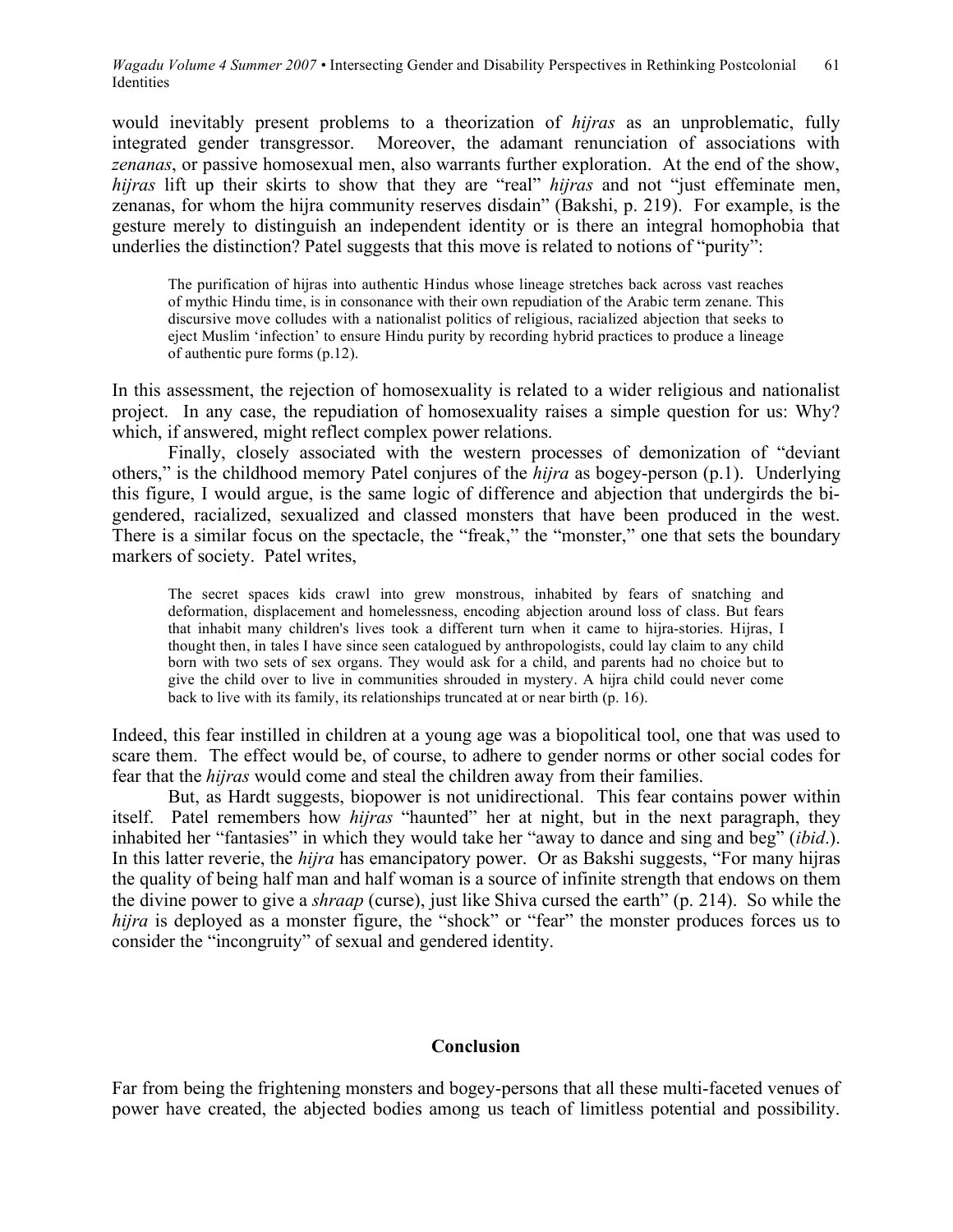would inevitably present problems to a theorization of *hijras* as an unproblematic, fully integrated gender transgressor. Moreover, the adamant renunciation of associations with *zenanas*, or passive homosexual men, also warrants further exploration. At the end of the show, *hijras* lift up their skirts to show that they are "real" *hijras* and not "just effeminate men, zenanas, for whom the hijra community reserves disdain" (Bakshi, p. 219). For example, is the gesture merely to distinguish an independent identity or is there an integral homophobia that underlies the distinction? Patel suggests that this move is related to notions of "purity":

The purification of hijras into authentic Hindus whose lineage stretches back across vast reaches of mythic Hindu time, is in consonance with their own repudiation of the Arabic term zenane. This discursive move colludes with a nationalist politics of religious, racialized abjection that seeks to eject Muslim 'infection' to ensure Hindu purity by recording hybrid practices to produce a lineage of authentic pure forms (p.12).

In this assessment, the rejection of homosexuality is related to a wider religious and nationalist project. In any case, the repudiation of homosexuality raises a simple question for us: Why? which, if answered, might reflect complex power relations.

Finally, closely associated with the western processes of demonization of "deviant others," is the childhood memory Patel conjures of the *hijra* as bogey-person (p.1). Underlying this figure, I would argue, is the same logic of difference and abjection that undergirds the bigendered, racialized, sexualized and classed monsters that have been produced in the west. There is a similar focus on the spectacle, the "freak," the "monster," one that sets the boundary markers of society. Patel writes,

The secret spaces kids crawl into grew monstrous, inhabited by fears of snatching and deformation, displacement and homelessness, encoding abjection around loss of class. But fears that inhabit many children's lives took a different turn when it came to hijra-stories. Hijras, I thought then, in tales I have since seen catalogued by anthropologists, could lay claim to any child born with two sets of sex organs. They would ask for a child, and parents had no choice but to give the child over to live in communities shrouded in mystery. A hijra child could never come back to live with its family, its relationships truncated at or near birth (p. 16).

Indeed, this fear instilled in children at a young age was a biopolitical tool, one that was used to scare them. The effect would be, of course, to adhere to gender norms or other social codes for fear that the *hijras* would come and steal the children away from their families.

But, as Hardt suggests, biopower is not unidirectional. This fear contains power within itself. Patel remembers how *hijras* "haunted" her at night, but in the next paragraph, they inhabited her "fantasies" in which they would take her "away to dance and sing and beg" (*ibid*.). In this latter reverie, the *hijra* has emancipatory power. Or as Bakshi suggests, "For many hijras the quality of being half man and half woman is a source of infinite strength that endows on them the divine power to give a *shraap* (curse), just like Shiva cursed the earth" (p. 214). So while the *hijra* is deployed as a monster figure, the "shock" or "fear" the monster produces forces us to consider the "incongruity" of sexual and gendered identity.

#### **Conclusion**

Far from being the frightening monsters and bogey-persons that all these multi-faceted venues of power have created, the abjected bodies among us teach of limitless potential and possibility.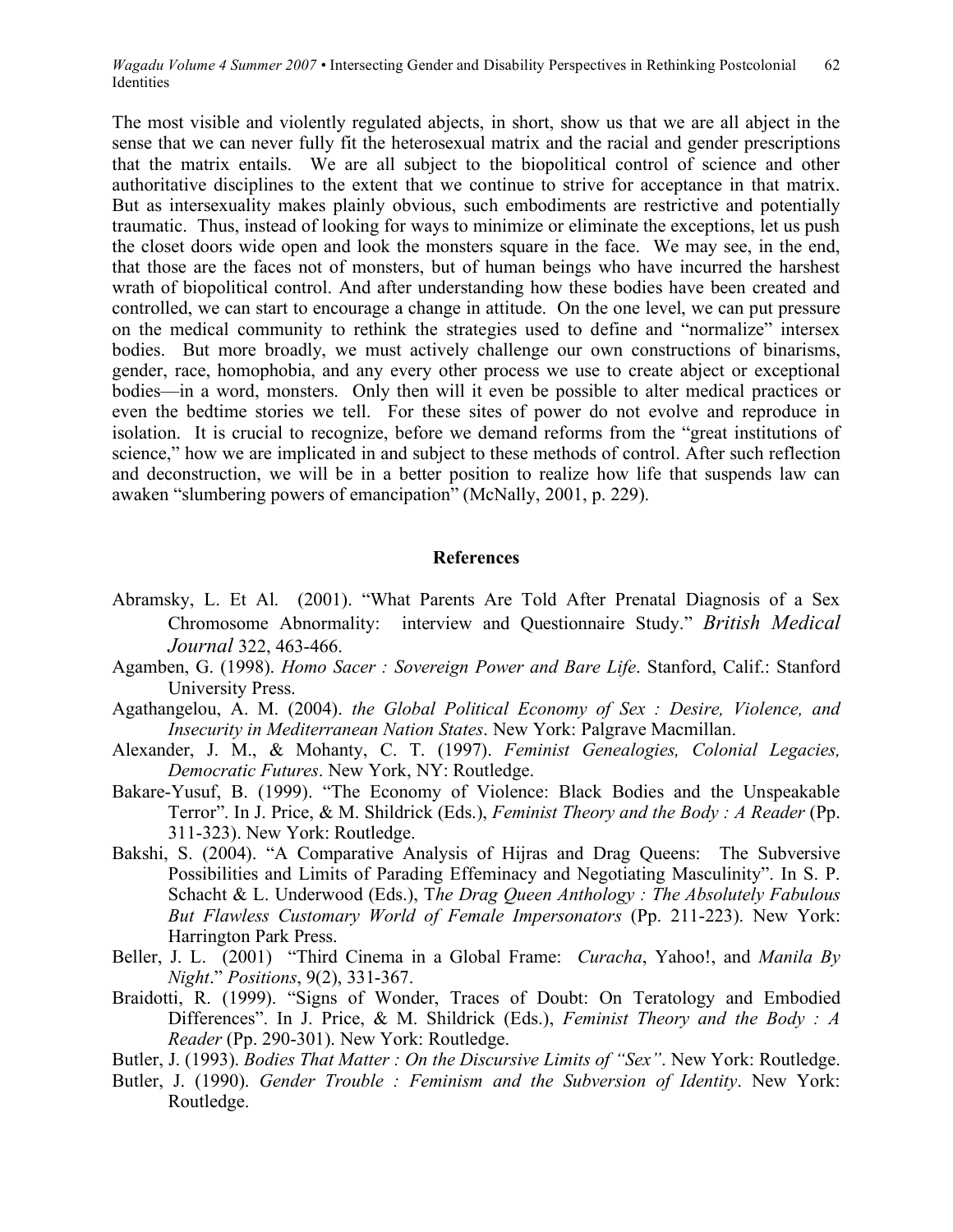The most visible and violently regulated abjects, in short, show us that we are all abject in the sense that we can never fully fit the heterosexual matrix and the racial and gender prescriptions that the matrix entails. We are all subject to the biopolitical control of science and other authoritative disciplines to the extent that we continue to strive for acceptance in that matrix. But as intersexuality makes plainly obvious, such embodiments are restrictive and potentially traumatic. Thus, instead of looking for ways to minimize or eliminate the exceptions, let us push the closet doors wide open and look the monsters square in the face. We may see, in the end, that those are the faces not of monsters, but of human beings who have incurred the harshest wrath of biopolitical control. And after understanding how these bodies have been created and controlled, we can start to encourage a change in attitude. On the one level, we can put pressure on the medical community to rethink the strategies used to define and "normalize" intersex bodies. But more broadly, we must actively challenge our own constructions of binarisms, gender, race, homophobia, and any every other process we use to create abject or exceptional bodies—in a word, monsters. Only then will it even be possible to alter medical practices or even the bedtime stories we tell. For these sites of power do not evolve and reproduce in isolation. It is crucial to recognize, before we demand reforms from the "great institutions of science," how we are implicated in and subject to these methods of control. After such reflection and deconstruction, we will be in a better position to realize how life that suspends law can awaken "slumbering powers of emancipation" (McNally, 2001, p. 229).

### **References**

- Abramsky, L. Et Al. (2001). "What Parents Are Told After Prenatal Diagnosis of a Sex Chromosome Abnormality: interview and Questionnaire Study." *British Medical Journal* 322, 463-466.
- Agamben, G. (1998). *Homo Sacer : Sovereign Power and Bare Life*. Stanford, Calif.: Stanford University Press.
- Agathangelou, A. M. (2004). *the Global Political Economy of Sex : Desire, Violence, and Insecurity in Mediterranean Nation States*. New York: Palgrave Macmillan.
- Alexander, J. M., & Mohanty, C. T. (1997). *Feminist Genealogies, Colonial Legacies, Democratic Futures*. New York, NY: Routledge.
- Bakare-Yusuf, B. (1999). "The Economy of Violence: Black Bodies and the Unspeakable Terror". In J. Price, & M. Shildrick (Eds.), *Feminist Theory and the Body : A Reader* (Pp. 311-323). New York: Routledge.
- Bakshi, S. (2004). "A Comparative Analysis of Hijras and Drag Queens: The Subversive Possibilities and Limits of Parading Effeminacy and Negotiating Masculinity". In S. P. Schacht & L. Underwood (Eds.), T*he Drag Queen Anthology : The Absolutely Fabulous But Flawless Customary World of Female Impersonators* (Pp. 211-223). New York: Harrington Park Press.
- Beller, J. L. (2001) "Third Cinema in a Global Frame: *Curacha*, Yahoo!, and *Manila By Night*." *Positions*, 9(2), 331-367.
- Braidotti, R. (1999). "Signs of Wonder, Traces of Doubt: On Teratology and Embodied Differences". In J. Price, & M. Shildrick (Eds.), *Feminist Theory and the Body : A Reader* (Pp. 290-301). New York: Routledge.
- Butler, J. (1993). *Bodies That Matter : On the Discursive Limits of "Sex"*. New York: Routledge.
- Butler, J. (1990). *Gender Trouble : Feminism and the Subversion of Identity*. New York: Routledge.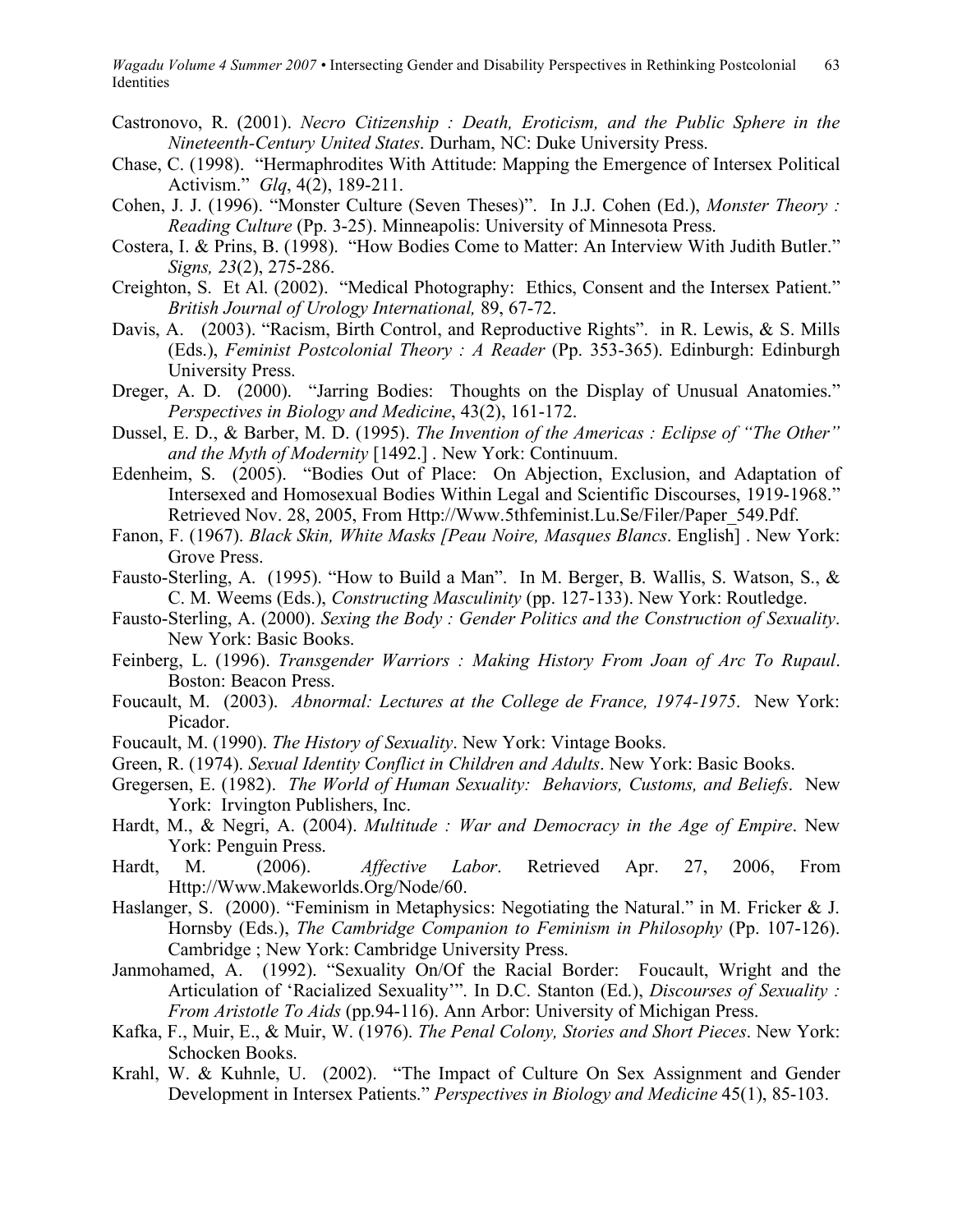- Castronovo, R. (2001). *Necro Citizenship : Death, Eroticism, and the Public Sphere in the Nineteenth-Century United States*. Durham, NC: Duke University Press.
- Chase, C. (1998). "Hermaphrodites With Attitude: Mapping the Emergence of Intersex Political Activism." *Glq*, 4(2), 189-211.
- Cohen, J. J. (1996). "Monster Culture (Seven Theses)". In J.J. Cohen (Ed.), *Monster Theory : Reading Culture* (Pp. 3-25). Minneapolis: University of Minnesota Press.
- Costera, I. & Prins, B. (1998). "How Bodies Come to Matter: An Interview With Judith Butler." *Signs, 23*(2), 275-286.
- Creighton, S. Et Al. (2002). "Medical Photography: Ethics, Consent and the Intersex Patient." *British Journal of Urology International,* 89, 67-72.
- Davis, A. (2003). "Racism, Birth Control, and Reproductive Rights". in R. Lewis, & S. Mills (Eds.), *Feminist Postcolonial Theory : A Reader* (Pp. 353-365). Edinburgh: Edinburgh University Press.
- Dreger, A. D. (2000). "Jarring Bodies: Thoughts on the Display of Unusual Anatomies." *Perspectives in Biology and Medicine*, 43(2), 161-172.
- Dussel, E. D., & Barber, M. D. (1995). *The Invention of the Americas : Eclipse of "The Other" and the Myth of Modernity* [1492.] . New York: Continuum.
- Edenheim, S. (2005). "Bodies Out of Place: On Abjection, Exclusion, and Adaptation of Intersexed and Homosexual Bodies Within Legal and Scientific Discourses, 1919-1968." Retrieved Nov. 28, 2005, From Http://Www.5thfeminist.Lu.Se/Filer/Paper\_549.Pdf.
- Fanon, F. (1967). *Black Skin, White Masks [Peau Noire, Masques Blancs*. English] . New York: Grove Press.
- Fausto-Sterling, A. (1995). "How to Build a Man". In M. Berger, B. Wallis, S. Watson, S., & C. M. Weems (Eds.), *Constructing Masculinity* (pp. 127-133). New York: Routledge.
- Fausto-Sterling, A. (2000). *Sexing the Body : Gender Politics and the Construction of Sexuality*. New York: Basic Books.
- Feinberg, L. (1996). *Transgender Warriors : Making History From Joan of Arc To Rupaul*. Boston: Beacon Press.
- Foucault, M. (2003). *Abnormal: Lectures at the College de France, 1974-1975*. New York: Picador.
- Foucault, M. (1990). *The History of Sexuality*. New York: Vintage Books.
- Green, R. (1974). *Sexual Identity Conflict in Children and Adults*. New York: Basic Books.
- Gregersen, E. (1982). *The World of Human Sexuality: Behaviors, Customs, and Beliefs*. New York: Irvington Publishers, Inc.
- Hardt, M., & Negri, A. (2004). *Multitude : War and Democracy in the Age of Empire*. New York: Penguin Press.
- Hardt, M. (2006). *Affective Labor*. Retrieved Apr. 27, 2006, From Http://Www.Makeworlds.Org/Node/60.
- Haslanger, S. (2000). "Feminism in Metaphysics: Negotiating the Natural." in M. Fricker & J. Hornsby (Eds.), *The Cambridge Companion to Feminism in Philosophy* (Pp. 107-126). Cambridge ; New York: Cambridge University Press.
- Janmohamed, A. (1992). "Sexuality On/Of the Racial Border: Foucault, Wright and the Articulation of 'Racialized Sexuality'". In D.C. Stanton (Ed.), *Discourses of Sexuality : From Aristotle To Aids* (pp.94-116). Ann Arbor: University of Michigan Press.
- Kafka, F., Muir, E., & Muir, W. (1976). *The Penal Colony, Stories and Short Pieces*. New York: Schocken Books.
- Krahl, W. & Kuhnle, U. (2002). "The Impact of Culture On Sex Assignment and Gender Development in Intersex Patients." *Perspectives in Biology and Medicine* 45(1), 85-103.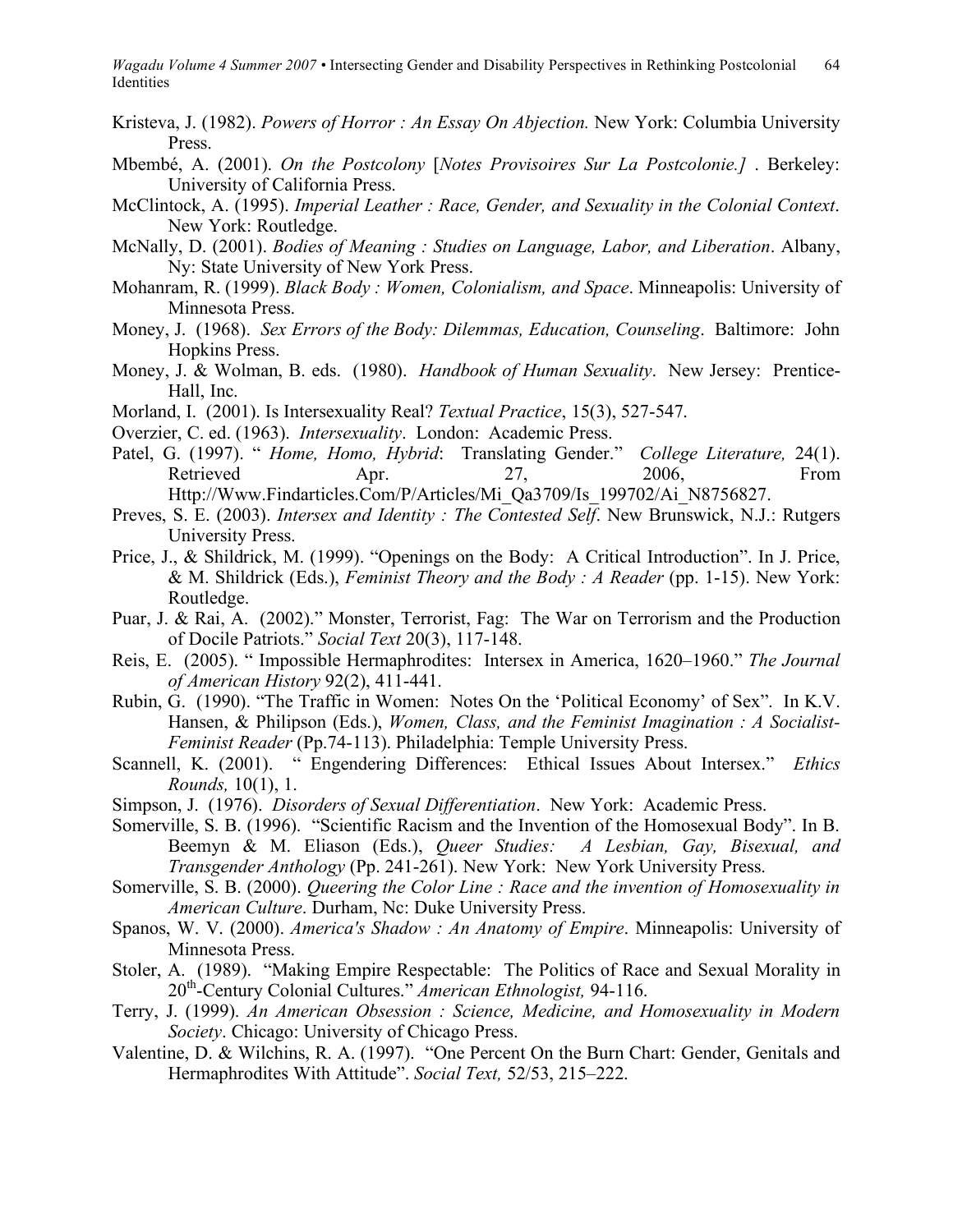- Kristeva, J. (1982). *Powers of Horror : An Essay On Abjection.* New York: Columbia University Press.
- Mbembé, A. (2001). *On the Postcolony* [*Notes Provisoires Sur La Postcolonie.]* . Berkeley: University of California Press.
- McClintock, A. (1995). *Imperial Leather : Race, Gender, and Sexuality in the Colonial Context*. New York: Routledge.
- McNally, D. (2001). *Bodies of Meaning : Studies on Language, Labor, and Liberation*. Albany, Ny: State University of New York Press.
- Mohanram, R. (1999). *Black Body : Women, Colonialism, and Space*. Minneapolis: University of Minnesota Press.
- Money, J. (1968). *Sex Errors of the Body: Dilemmas, Education, Counseling*. Baltimore: John Hopkins Press.
- Money, J. & Wolman, B. eds. (1980). *Handbook of Human Sexuality*. New Jersey: Prentice-Hall, Inc.
- Morland, I. (2001). Is Intersexuality Real? *Textual Practice*, 15(3), 527-547.
- Overzier, C. ed. (1963). *Intersexuality*. London: Academic Press.
- Patel, G. (1997). " *Home, Homo, Hybrid*: Translating Gender." *College Literature,* 24(1). Retrieved Apr. 27, 2006, From Http://Www.Findarticles.Com/P/Articles/Mi\_Qa3709/Is\_199702/Ai\_N8756827.
- Preves, S. E. (2003). *Intersex and Identity : The Contested Self*. New Brunswick, N.J.: Rutgers University Press.
- Price, J., & Shildrick, M. (1999). "Openings on the Body: A Critical Introduction". In J. Price, & M. Shildrick (Eds.), *Feminist Theory and the Body : A Reader* (pp. 1-15). New York: Routledge.
- Puar, J. & Rai, A. (2002)." Monster, Terrorist, Fag: The War on Terrorism and the Production of Docile Patriots." *Social Text* 20(3), 117-148.
- Reis, E. (2005). " Impossible Hermaphrodites: Intersex in America, 1620–1960." *The Journal of American History* 92(2), 411-441.
- Rubin, G. (1990). "The Traffic in Women: Notes On the 'Political Economy' of Sex". In K.V. Hansen, & Philipson (Eds.), *Women, Class, and the Feminist Imagination : A Socialist-Feminist Reader* (Pp.74-113). Philadelphia: Temple University Press.
- Scannell, K. (2001). " Engendering Differences: Ethical Issues About Intersex." *Ethics Rounds,* 10(1), 1.
- Simpson, J. (1976). *Disorders of Sexual Differentiation*. New York: Academic Press.
- Somerville, S. B. (1996). "Scientific Racism and the Invention of the Homosexual Body". In B. Beemyn & M. Eliason (Eds.), *Queer Studies: A Lesbian, Gay, Bisexual, and Transgender Anthology* (Pp. 241-261). New York: New York University Press.
- Somerville, S. B. (2000). *Queering the Color Line : Race and the invention of Homosexuality in American Culture*. Durham, Nc: Duke University Press.
- Spanos, W. V. (2000). *America's Shadow : An Anatomy of Empire*. Minneapolis: University of Minnesota Press.
- Stoler, A. (1989). "Making Empire Respectable: The Politics of Race and Sexual Morality in 20th -Century Colonial Cultures." *American Ethnologist,* 94-116.
- Terry, J. (1999). *An American Obsession : Science, Medicine, and Homosexuality in Modern Society*. Chicago: University of Chicago Press.
- Valentine, D. & Wilchins, R. A. (1997). "One Percent On the Burn Chart: Gender, Genitals and Hermaphrodites With Attitude". *Social Text,* 52/53, 215–222.